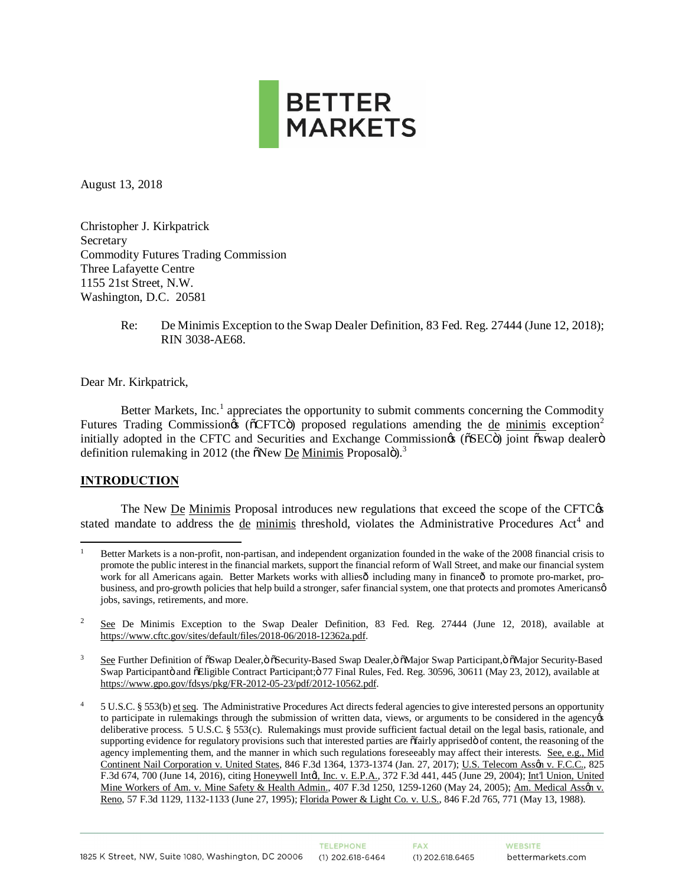

August 13, 2018

Christopher J. Kirkpatrick Secretary Commodity Futures Trading Commission Three Lafayette Centre 1155 21st Street, N.W. Washington, D.C. 20581

> Re: De Minimis Exception to the Swap Dealer Definition, 83 Fed. Reg. 27444 (June 12, 2018); RIN 3038-AE68.

Dear Mr. Kirkpatrick,

Better Markets, Inc.<sup>1</sup> appreciates the opportunity to submit comments concerning the Commodity Futures Trading Commission  $\delta$  ( $\delta$ CFTC $\ddot{o}$ ) proposed regulations amending the de minimis exception<sup>2</sup> initially adopted in the CFTC and Securities and Exchange Commission ( $\delta$ SEC $\ddot{\sigma}$ ) joint  $\ddot{\sigma}$ swap dealer $\ddot{\sigma}$ definition rulemaking in 2012 (the  $\delta$ New De Minimis Proposalo).<sup>3</sup>

#### **INTRODUCTION**

The New De Minimis Proposal introduces new regulations that exceed the scope of the CFTC $\alpha$ stated mandate to address the de minimis threshold, violates the Administrative Procedures Act<sup>4</sup> and

 $\overline{a}$ <sup>1</sup> Better Markets is a non-profit, non-partisan, and independent organization founded in the wake of the 2008 financial crisis to promote the public interest in the financial markets, support the financial reform of Wall Street, and make our financial system work for all Americans again. Better Markets works with alliesô including many in financeô to promote pro-market, probusiness, and pro-growth policies that help build a stronger, safer financial system, one that protects and promotes Americansø jobs, savings, retirements, and more.

<sup>&</sup>lt;sup>2</sup> See De Minimis Exception to the Swap Dealer Definition, 83 Fed. Reg. 27444 (June 12, 2018), available at https://www.cftc.gov/sites/default/files/2018-06/2018-12362a.pdf.

<sup>&</sup>lt;sup>3</sup> See Further Definition of  $\delta$ Swap Dealer, $\delta$   $\delta$ Security-Based Swap Dealer, $\delta$   $\delta$ Major Swap Participant, $\delta$   $\delta$ Major Security-Based Swap Participantö and õEligible Contract Participant; ö 77 Final Rules, Fed. Reg. 30596, 30611 (May 23, 2012), available at https://www.gpo.gov/fdsys/pkg/FR-2012-05-23/pdf/2012-10562.pdf.

<sup>&</sup>lt;sup>4</sup> 5 U.S.C. § 553(b) et seq. The Administrative Procedures Act directs federal agencies to give interested persons an opportunity to participate in rulemakings through the submission of written data, views, or arguments to be considered in the agency  $\alpha$ deliberative process. 5 U.S.C. § 553(c). Rulemakings must provide sufficient factual detail on the legal basis, rationale, and supporting evidence for regulatory provisions such that interested parties are  $\delta$ fairly apprised $\ddot{o}$  of content, the reasoning of the agency implementing them, and the manner in which such regulations foreseeably may affect their interests. See, e.g., Mid Continent Nail Corporation v. United States, 846 F.3d 1364, 1373-1374 (Jan. 27, 2017); U.S. Telecom Assen v. F.C.C., 825 F.3d 674, 700 (June 14, 2016), citing Honeywell Intol, Inc. v. E.P.A., 372 F.3d 441, 445 (June 29, 2004); Int'l Union, United Mine Workers of Am. v. Mine Safety & Health Admin., 407 F.3d 1250, 1259-1260 (May 24, 2005); Am. Medical Assgn v. Reno, 57 F.3d 1129, 1132-1133 (June 27, 1995); Florida Power & Light Co. v. U.S., 846 F.2d 765, 771 (May 13, 1988).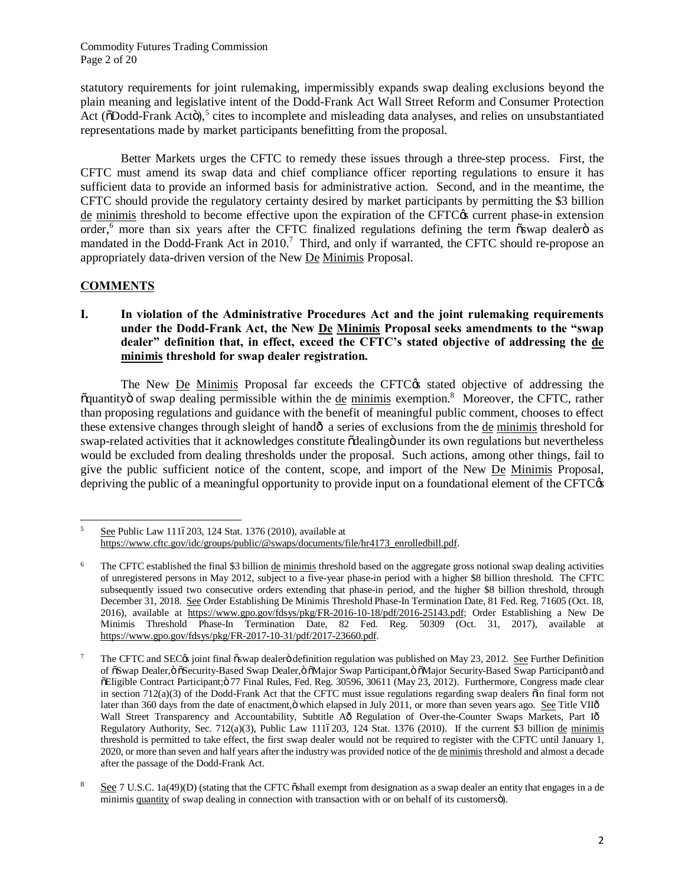Commodity Futures Trading Commission Page 2 of 20

statutory requirements for joint rulemaking, impermissibly expands swap dealing exclusions beyond the plain meaning and legislative intent of the Dodd-Frank Act Wall Street Reform and Consumer Protection Act ( $\delta$ Dodd-Frank Actö),<sup>5</sup> cites to incomplete and misleading data analyses, and relies on unsubstantiated representations made by market participants benefitting from the proposal.

Better Markets urges the CFTC to remedy these issues through a three-step process. First, the CFTC must amend its swap data and chief compliance officer reporting regulations to ensure it has sufficient data to provide an informed basis for administrative action. Second, and in the meantime, the CFTC should provide the regulatory certainty desired by market participants by permitting the \$3 billion de minimis threshold to become effective upon the expiration of the CFTC $\alpha$  current phase-in extension order,<sup>6</sup> more than six years after the CFTC finalized regulations defining the term oswap dealero as mandated in the Dodd-Frank Act in 2010.<sup>7</sup> Third, and only if warranted, the CFTC should re-propose an appropriately data-driven version of the New De Minimis Proposal.

# **COMMENTS**

**I. In violation of the Administrative Procedures Act and the joint rulemaking requirements under the Dodd-Frank Act, the New De Minimis Proposal seeks amendments to the "swap dealer" definition that, in effect, exceed the CFTC's stated objective of addressing the de minimis threshold for swap dealer registration.**

The New De Minimis Proposal far exceeds the CFTC $\alpha$  stated objective of addressing the õquantityö of swap dealing permissible within the de minimis exemption.<sup>8</sup> Moreover, the CFTC, rather than proposing regulations and guidance with the benefit of meaningful public comment, chooses to effect these extensive changes through sleight of handô a series of exclusions from the de minimis threshold for swap-related activities that it acknowledges constitute  $\delta$ dealing  $\delta$  under its own regulations but nevertheless would be excluded from dealing thresholds under the proposal. Such actions, among other things, fail to give the public sufficient notice of the content, scope, and import of the New De Minimis Proposal, depriving the public of a meaningful opportunity to provide input on a foundational element of the CFTC $\alpha$ 

 $\overline{5}$ See Public Law 1116203, 124 Stat. 1376 (2010), available at https://www.cftc.gov/idc/groups/public/@swaps/documents/file/hr4173\_enrolledbill.pdf.

<sup>&</sup>lt;sup>6</sup> The CFTC established the final \$3 billion de minimis threshold based on the aggregate gross notional swap dealing activities of unregistered persons in May 2012, subject to a five-year phase-in period with a higher \$8 billion threshold. The CFTC subsequently issued two consecutive orders extending that phase-in period, and the higher \$8 billion threshold, through December 31, 2018. See Order Establishing De Minimis Threshold Phase-In Termination Date, 81 Fed. Reg. 71605 (Oct. 18, 2016), available at https://www.gpo.gov/fdsys/pkg/FR-2016-10-18/pdf/2016-25143.pdf; Order Establishing a New De Minimis Threshold Phase-In Termination Date, 82 Fed. Reg. 50309 (Oct. 31, 2017), available at https://www.gpo.gov/fdsys/pkg/FR-2017-10-31/pdf/2017-23660.pdf.

<sup>&</sup>lt;sup>7</sup> The CFTC and SEC $\alpha$  joint final  $\ddot{\text{o}}$ swap dealer $\ddot{\text{o}}$  definition regulation was published on May 23, 2012. <u>See</u> Further Definition of öSwap Dealer, ö öSecurity-Based Swap Dealer, ö öMajor Swap Participant, ö öMajor Security-Based Swap Participantö and "Eligible Contract Participant;" 77 Final Rules, Fed. Reg. 30596, 30611 (May 23, 2012). Furthermore, Congress made clear in section  $712(a)(3)$  of the Dodd-Frank Act that the CFTC must issue regulations regarding swap dealers  $\ddot{o}$  in final form not later than 360 days from the date of enactment, ö which elapsed in July 2011, or more than seven years ago. See Title VIIô Wall Street Transparency and Accountability, Subtitle Aô Regulation of Over-the-Counter Swaps Markets, Part Iô Regulatory Authority, Sec. 712(a)(3), Public Law 1116203, 124 Stat. 1376 (2010). If the current \$3 billion de minimis threshold is permitted to take effect, the first swap dealer would not be required to register with the CFTC until January 1, 2020, or more than seven and half years after the industry was provided notice of the de minimisthreshold and almost a decade after the passage of the Dodd-Frank Act.

See 7 U.S.C.  $1a(49)(D)$  (stating that the CFTC  $\ddot{o}$ shall exempt from designation as a swap dealer an entity that engages in a de minimis quantity of swap dealing in connection with transaction with or on behalf of its customersö).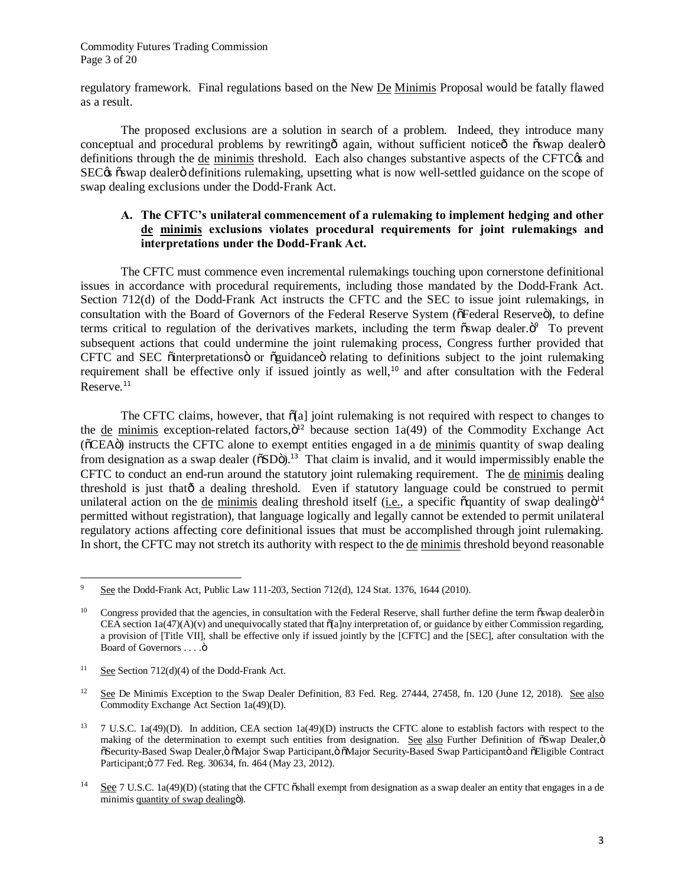Commodity Futures Trading Commission Page 3 of 20

regulatory framework. Final regulations based on the New De Minimis Proposal would be fatally flawed as a result.

The proposed exclusions are a solution in search of a problem. Indeed, they introduce many conceptual and procedural problems by rewriting o again, without sufficient notice othe "oswap dealer" swap definitions through the de minimis threshold. Each also changes substantive aspects of the CFTC $\alpha$  and SEC $\alpha$   $\delta$ swap dealer $\ddot{o}$  definitions rulemaking, upsetting what is now well-settled guidance on the scope of swap dealing exclusions under the Dodd-Frank Act.

## **A. The CFTC's unilateral commencement of a rulemaking to implement hedging and other de minimis exclusions violates procedural requirements for joint rulemakings and interpretations under the Dodd-Frank Act.**

The CFTC must commence even incremental rulemakings touching upon cornerstone definitional issues in accordance with procedural requirements, including those mandated by the Dodd-Frank Act. Section 712(d) of the Dodd-Frank Act instructs the CFTC and the SEC to issue joint rulemakings, in consultation with the Board of Governors of the Federal Reserve System ( $\delta$ Federal Reserve $\ddot{\text{o}}$ ), to define terms critical to regulation of the derivatives markets, including the term oswap dealer. To prevent subsequent actions that could undermine the joint rulemaking process, Congress further provided that CFTC and SEC  $\ddot{\text{o}}$ interpretations or  $\ddot{\text{o}}$ guidance  $\ddot{\text{o}}$  relating to definitions subject to the joint rulemaking requirement shall be effective only if issued jointly as well,<sup>10</sup> and after consultation with the Federal Reserve. 11

The CFTC claims, however, that  $\delta[a]$  joint rulemaking is not required with respect to changes to the de minimis exception-related factors, $\ddot{o}^{12}$  because section 1a(49) of the Commodity Exchange Act ( $\delta$ CEA $\ddot{o}$ ) instructs the CFTC alone to exempt entities engaged in a de minimis quantity of swap dealing from designation as a swap dealer ( $\delta SD\ddot{o}$ ).<sup>13</sup> That claim is invalid, and it would impermissibly enable the CFTC to conduct an end-run around the statutory joint rulemaking requirement. The de minimis dealing threshold is just that  $\hat{o}$  a dealing threshold. Even if statutory language could be construed to permit unilateral action on the <u>de minimis</u> dealing threshold itself (*i.e.*, a specific  $\tilde{\text{o}}$ quantity of swap dealing $\tilde{\text{o}}^{14}$ permitted without registration), that language logically and legally cannot be extended to permit unilateral regulatory actions affecting core definitional issues that must be accomplished through joint rulemaking. In short, the CFTC may not stretch its authority with respect to the de minimis threshold beyond reasonable

 $\overline{a}$ See the Dodd-Frank Act, Public Law 111-203, Section 712(d), 124 Stat. 1376, 1644 (2010).

Congress provided that the agencies, in consultation with the Federal Reserve, shall further define the term  $\tilde{\text{os}}$ wap dealer $\ddot{\text{o}}$  in CEA section  $1a(47)(A)(v)$  and unequivocally stated that  $\delta[a]$ ny interpretation of, or guidance by either Commission regarding, a provision of [Title VII], shall be effective only if issued jointly by the [CFTC] and the [SEC], after consultation with the Board of Governors . . . . ö

<sup>&</sup>lt;sup>11</sup> See Section 712(d)(4) of the Dodd-Frank Act.

<sup>&</sup>lt;sup>12</sup> See De Minimis Exception to the Swap Dealer Definition, 83 Fed. Reg. 27444, 27458, fn. 120 (June 12, 2018). See also Commodity Exchange Act Section 1a(49)(D).

<sup>&</sup>lt;sup>13</sup> 7 U.S.C. 1a(49)(D). In addition, CEA section 1a(49)(D) instructs the CFTC alone to establish factors with respect to the making of the determination to exempt such entities from designation. See also Further Definition of  $\delta$ Swap Dealer, $\ddot{o}$  $\delta$ Security-Based Swap Dealer,  $\ddot{\text{o}}$  Major Swap Participant,  $\ddot{\text{o}}$  Major Security-Based Swap Participant $\ddot{\text{o}}$  and  $\delta$ Eligible Contract Participant; ö 77 Fed. Reg. 30634, fn. 464 (May 23, 2012).

<sup>&</sup>lt;sup>14</sup> See 7 U.S.C. 1a(49)(D) (stating that the CFTC  $\ddot{\text{o}}$ shall exempt from designation as a swap dealer an entity that engages in a de minimis quantity of swap dealingo.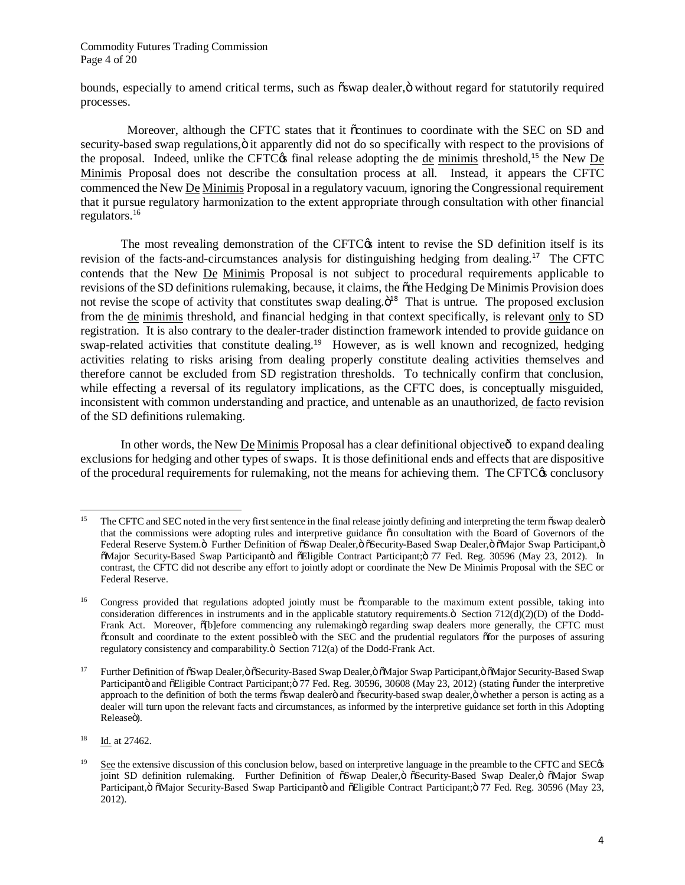Commodity Futures Trading Commission Page 4 of 20

bounds, especially to amend critical terms, such as  $\delta$ swap dealer, $\ddot{\delta}$  without regard for statutorily required processes.

Moreover, although the CFTC states that it occontinues to coordinate with the SEC on SD and security-based swap regulations,  $\ddot{o}$  it apparently did not do so specifically with respect to the provisions of the proposal. Indeed, unlike the CFTC $\alpha$  final release adopting the de minimis threshold,<sup>15</sup> the New De Minimis Proposal does not describe the consultation process at all. Instead, it appears the CFTC commenced the New De Minimis Proposal in a regulatory vacuum, ignoring the Congressional requirement that it pursue regulatory harmonization to the extent appropriate through consultation with other financial regulators. 16

The most revealing demonstration of the CFTC $\alpha$  intent to revise the SD definition itself is its revision of the facts-and-circumstances analysis for distinguishing hedging from dealing.<sup>17</sup> The CFTC contends that the New De Minimis Proposal is not subject to procedural requirements applicable to revisions of the SD definitions rulemaking, because, it claims, the othe Hedging De Minimis Provision does not revise the scope of activity that constitutes swap dealing. $\ddot{\mathrm{o}}^{18}$  That is untrue. The proposed exclusion from the de minimis threshold, and financial hedging in that context specifically, is relevant only to SD registration. It is also contrary to the dealer-trader distinction framework intended to provide guidance on swap-related activities that constitute dealing.<sup>19</sup> However, as is well known and recognized, hedging activities relating to risks arising from dealing properly constitute dealing activities themselves and therefore cannot be excluded from SD registration thresholds. To technically confirm that conclusion, while effecting a reversal of its regulatory implications, as the CFTC does, is conceptually misguided, inconsistent with common understanding and practice, and untenable as an unauthorized, de facto revision of the SD definitions rulemaking.

In other words, the New De Minimis Proposal has a clear definitional objective  $\hat{o}$  to expand dealing exclusions for hedging and other types of swaps. It is those definitional ends and effects that are dispositive of the procedural requirements for rulemaking, not the means for achieving them. The CFTC $\alpha$  conclusory

 $\overline{a}$ The CFTC and SEC noted in the very first sentence in the final release jointly defining and interpreting the term  $\tilde{\text{os}}$ wap dealer $\ddot{\text{o}}$ that the commissions were adopting rules and interpretive guidance oin consultation with the Board of Governors of the Federal Reserve System.ö Further Definition of öSwap Dealer,ö öSecurity-Based Swap Dealer,ö öMajor Swap Participant,ö  $\delta$ Major Security-Based Swap Participanto and  $\delta$ Eligible Contract Participant; 77 Fed. Reg. 30596 (May 23, 2012). In contrast, the CFTC did not describe any effort to jointly adopt or coordinate the New De Minimis Proposal with the SEC or Federal Reserve.

<sup>&</sup>lt;sup>16</sup> Congress provided that regulations adopted jointly must be  $\tilde{o}$ comparable to the maximum extent possible, taking into consideration differences in instruments and in the applicable statutory requirements. $\ddot{o}$  Section 712(d)(2)(D) of the Dodd-Frank Act. Moreover,  $\delta$ [b]efore commencing any rulemaking i regarding swap dealers more generally, the CFTC must  $\tilde{\text{c}}$ consult and coordinate to the extent possible with the SEC and the prudential regulators  $\tilde{\text{c}}$ for the purposes of assuring regulatory consistency and comparability. $\ddot{\text{o}}$  Section 712(a) of the Dodd-Frank Act.

<sup>&</sup>lt;sup>17</sup> Further Definition of  $\delta$ Swap Dealer, ö $\delta$ Security-Based Swap Dealer, ö $\delta$ Major Swap Participant, ö $\delta$ Major Security-Based Swap Participantö and õEligible Contract Participant; ö 77 Fed. Reg. 30596, 30608 (May 23, 2012) (stating õunder the interpretive approach to the definition of both the terms  $\ddot{\text{os}}$  dealero and  $\ddot{\text{os}}$  execurity-based swap dealer,  $\ddot{\text{o}}$  whether a person is acting as a dealer will turn upon the relevant facts and circumstances, as informed by the interpretive guidance set forth in this Adopting Releaseö).

<sup>18</sup> Id. at 27462.

<sup>&</sup>lt;sup>19</sup> See the extensive discussion of this conclusion below, based on interpretive language in the preamble to the CFTC and SEC $\alpha$ joint SD definition rulemaking. Further Definition of  $\delta$ Swap Dealer,  $\ddot{\delta}$   $\delta$ Security-Based Swap Dealer, $\ddot{\delta}$   $\delta$ Major Swap Participant, ö öMajor Security-Based Swap Participantö and öEligible Contract Participant; ö 77 Fed. Reg. 30596 (May 23, 2012).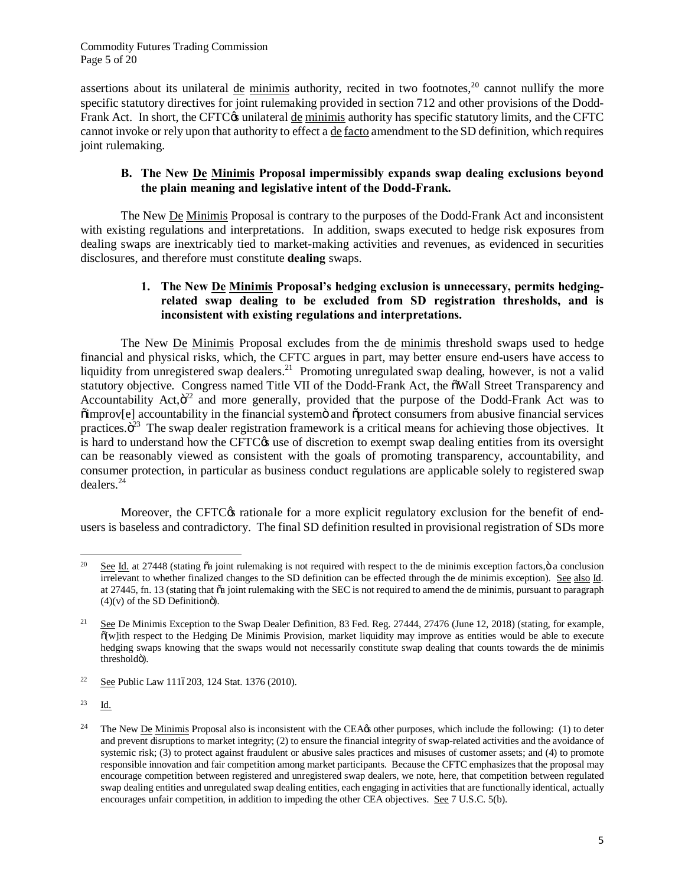Commodity Futures Trading Commission Page 5 of 20

assertions about its unilateral de minimis authority, recited in two footnotes,<sup>20</sup> cannot nullify the more specific statutory directives for joint rulemaking provided in section 712 and other provisions of the Dodd-Frank Act. In short, the CFTC $\circ$ s unilateral <u>de minimis</u> authority has specific statutory limits, and the CFTC cannot invoke or rely upon that authority to effect a de facto amendment to the SD definition, which requires joint rulemaking.

## **B. The New De Minimis Proposal impermissibly expands swap dealing exclusions beyond the plain meaning and legislative intent of the Dodd-Frank.**

The New De Minimis Proposal is contrary to the purposes of the Dodd-Frank Act and inconsistent with existing regulations and interpretations. In addition, swaps executed to hedge risk exposures from dealing swaps are inextricably tied to market-making activities and revenues, as evidenced in securities disclosures, and therefore must constitute **dealing** swaps.

## **1. The New De Minimis Proposal's hedging exclusion is unnecessary, permits hedgingrelated swap dealing to be excluded from SD registration thresholds, and is inconsistent with existing regulations and interpretations.**

The New De Minimis Proposal excludes from the de minimis threshold swaps used to hedge financial and physical risks, which, the CFTC argues in part, may better ensure end-users have access to liquidity from unregistered swap dealers.<sup>21</sup> Promoting unregulated swap dealing, however, is not a valid statutory objective. Congress named Title VII of the Dodd-Frank Act, the  $\delta$ Wall Street Transparency and Accountability Act, $\ddot{\sigma}^2$  and more generally, provided that the purpose of the Dodd-Frank Act was to  $\ddot{\text{o}}$ improv[e] accountability in the financial system $\ddot{\text{o}}$  and  $\ddot{\text{o}}$ protect consumers from abusive financial services practices. $\ddot{\sigma}^{23}$  The swap dealer registration framework is a critical means for achieving those objectives. It is hard to understand how the CFTC $\alpha$  use of discretion to exempt swap dealing entities from its oversight can be reasonably viewed as consistent with the goals of promoting transparency, accountability, and consumer protection, in particular as business conduct regulations are applicable solely to registered swap dealers.<sup>24</sup>

Moreover, the CFTC<sub>O</sub> rationale for a more explicit regulatory exclusion for the benefit of endusers is baseless and contradictory. The final SD definition resulted in provisional registration of SDs more

 $20\degree$ See Id. at 27448 (stating  $\ddot{\text{o}}$  a joint rulemaking is not required with respect to the de minimis exception factors, $\ddot{\text{o}}$  a conclusion irrelevant to whether finalized changes to the SD definition can be effected through the de minimis exception). See also Id. at 27445, fn. 13 (stating that "a joint rulemaking with the SEC is not required to amend the de minimis, pursuant to paragraph  $(4)(v)$  of the SD Definition<sub>o</sub>).

<sup>&</sup>lt;sup>21</sup> See De Minimis Exception to the Swap Dealer Definition, 83 Fed. Reg.  $27444$ ,  $27476$  (June 12, 2018) (stating, for example, "[w]ith respect to the Hedging De Minimis Provision, market liquidity may improve as entities would be able to execute hedging swaps knowing that the swaps would not necessarily constitute swap dealing that counts towards the de minimis thresholdö).

<sup>&</sup>lt;sup>22</sup> See Public Law 1116203, 124 Stat. 1376 (2010).

 $23$  Id.

<sup>&</sup>lt;sup>24</sup> The New De Minimis Proposal also is inconsistent with the CEA $\alpha$  other purposes, which include the following: (1) to deter and prevent disruptions to market integrity; (2) to ensure the financial integrity of swap-related activities and the avoidance of systemic risk; (3) to protect against fraudulent or abusive sales practices and misuses of customer assets; and (4) to promote responsible innovation and fair competition among market participants. Because the CFTC emphasizes that the proposal may encourage competition between registered and unregistered swap dealers, we note, here, that competition between regulated swap dealing entities and unregulated swap dealing entities, each engaging in activities that are functionally identical, actually encourages unfair competition, in addition to impeding the other CEA objectives. See 7 U.S.C. 5(b).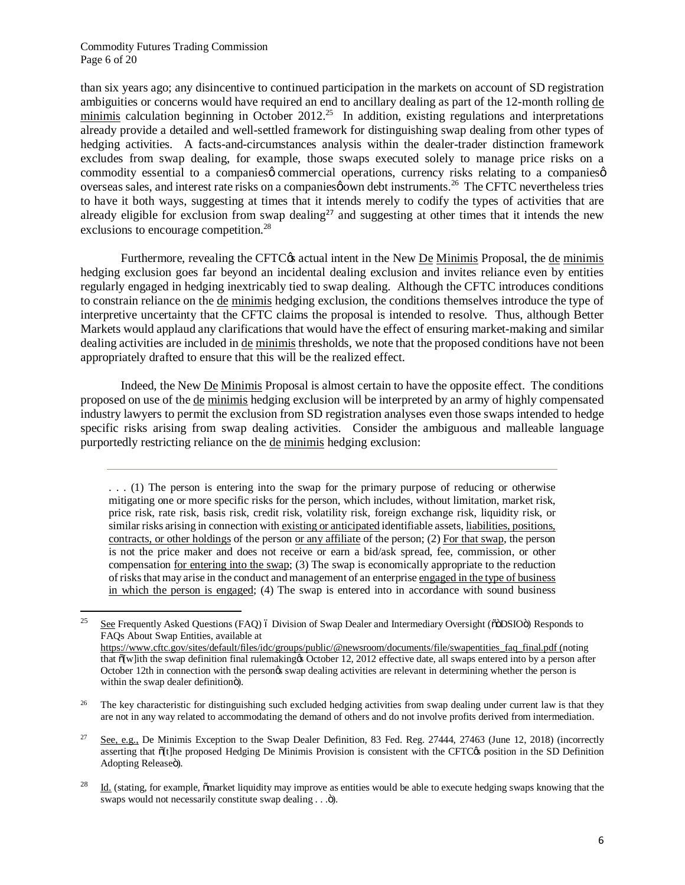#### Commodity Futures Trading Commission Page 6 of 20

 $\overline{a}$ 

than six years ago; any disincentive to continued participation in the markets on account of SD registration ambiguities or concerns would have required an end to ancillary dealing as part of the 12-month rolling de  $minimis$  calculation beginning in October 2012.<sup>25</sup> In addition, existing regulations and interpretations already provide a detailed and well-settled framework for distinguishing swap dealing from other types of hedging activities. A facts-and-circumstances analysis within the dealer-trader distinction framework excludes from swap dealing, for example, those swaps executed solely to manage price risks on a commodity essential to a companies occurrencial operations, currency risks relating to a companies overseas sales, and interest rate risks on a companies nown debt instruments.<sup>26</sup> The CFTC nevertheless tries to have it both ways, suggesting at times that it intends merely to codify the types of activities that are already eligible for exclusion from swap dealing<sup>27</sup> and suggesting at other times that it intends the new exclusions to encourage competition.<sup>28</sup>

Furthermore, revealing the CFTC $\circ$ s actual intent in the New <u>De Minimis</u> Proposal, the de minimis hedging exclusion goes far beyond an incidental dealing exclusion and invites reliance even by entities regularly engaged in hedging inextricably tied to swap dealing. Although the CFTC introduces conditions to constrain reliance on the de minimis hedging exclusion, the conditions themselves introduce the type of interpretive uncertainty that the CFTC claims the proposal is intended to resolve. Thus, although Better Markets would applaud any clarifications that would have the effect of ensuring market-making and similar dealing activities are included in de minimis thresholds, we note that the proposed conditions have not been appropriately drafted to ensure that this will be the realized effect.

Indeed, the New De Minimis Proposal is almost certain to have the opposite effect. The conditions proposed on use of the de minimis hedging exclusion will be interpreted by an army of highly compensated industry lawyers to permit the exclusion from SD registration analyses even those swaps intended to hedge specific risks arising from swap dealing activities. Consider the ambiguous and malleable language purportedly restricting reliance on the de minimis hedging exclusion:

. . . (1) The person is entering into the swap for the primary purpose of reducing or otherwise mitigating one or more specific risks for the person, which includes, without limitation, market risk, price risk, rate risk, basis risk, credit risk, volatility risk, foreign exchange risk, liquidity risk, or similar risks arising in connection with existing or anticipated identifiable assets, liabilities, positions, contracts, or other holdings of the person or any affiliate of the person; (2) For that swap, the person is not the price maker and does not receive or earn a bid/ask spread, fee, commission, or other compensation for entering into the swap; (3) The swap is economically appropriate to the reduction of risks that may arise in the conduct and management of an enterprise engaged in the type of business in which the person is engaged; (4) The swap is entered into in accordance with sound business

<sup>26</sup> The key characteristic for distinguishing such excluded hedging activities from swap dealing under current law is that they are not in any way related to accommodating the demand of others and do not involve profits derived from intermediation.

<sup>27</sup> See, e.g., De Minimis Exception to the Swap Dealer Definition, 83 Fed. Reg. 27444, 27463 (June 12, 2018) (incorrectly asserting that  $\delta$ [t]he proposed Hedging De Minimis Provision is consistent with the CFTC $\alpha$  position in the SD Definition Adopting Releaseö).

<sup>&</sup>lt;sup>25</sup> See Frequently Asked Questions (FAQ)  $\acute{o}$  Division of Swap Dealer and Intermediary Oversight ( $\ddot{o}$  $\ddot{o}$ DSIO $\ddot{o}$ ) Responds to FAQs About Swap Entities, available at https://www.cftc.gov/sites/default/files/idc/groups/public/@newsroom/documents/file/swapentities\_faq\_final.pdf (noting that  $\delta$ [w]ith the swap definition final rulemaking & October 12, 2012 effective date, all swaps entered into by a person after October 12th in connection with the person's swap dealing activities are relevant in determining whether the person is within the swap dealer definitionö).

 $^{28}$  Id. (stating, for example,  $\ddot{\text{om}}$  arket liquidity may improve as entities would be able to execute hedging swaps knowing that the swaps would not necessarily constitute swap dealing . . .").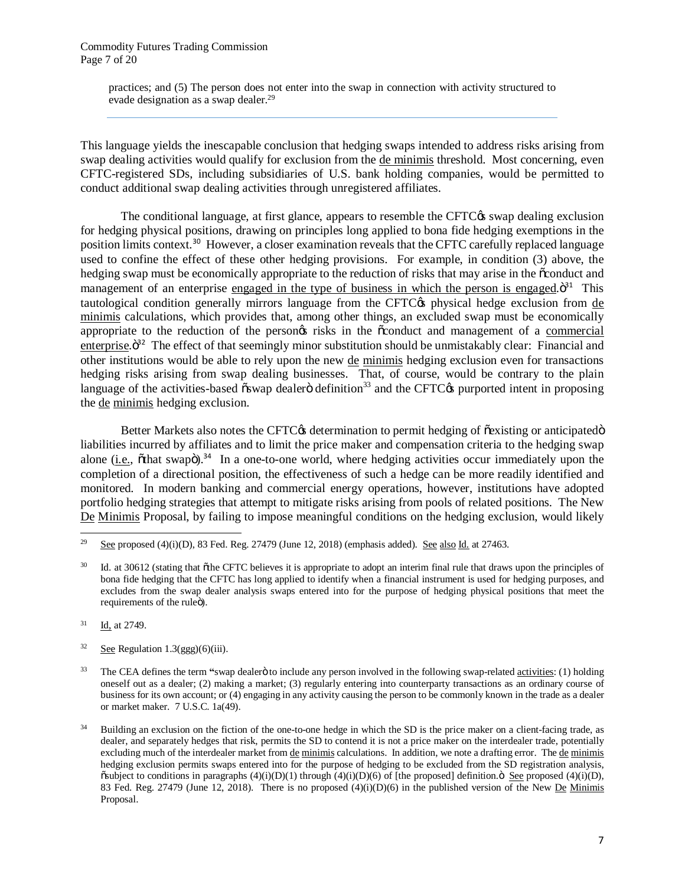practices; and (5) The person does not enter into the swap in connection with activity structured to evade designation as a swap dealer.<sup>29</sup>

This language yields the inescapable conclusion that hedging swaps intended to address risks arising from swap dealing activities would qualify for exclusion from the de minimis threshold. Most concerning, even CFTC-registered SDs, including subsidiaries of U.S. bank holding companies, would be permitted to conduct additional swap dealing activities through unregistered affiliates.

The conditional language, at first glance, appears to resemble the CFTC $\alpha$  swap dealing exclusion for hedging physical positions, drawing on principles long applied to bona fide hedging exemptions in the position limits context.<sup>30</sup> However, a closer examination reveals that the CFTC carefully replaced language used to confine the effect of these other hedging provisions. For example, in condition (3) above, the hedging swap must be economically appropriate to the reduction of risks that may arise in the  $\ddot{\rm o}$ conduct and management of an enterprise engaged in the type of business in which the person is engaged. $\ddot{0}^{31}$  This tautological condition generally mirrors language from the CFTC $\alpha$  physical hedge exclusion from de minimis calculations, which provides that, among other things, an excluded swap must be economically appropriate to the reduction of the persongs risks in the  $\ddot{\text{o}}$  conduct and management of a commercial enterprise. $\ddot{\mathrm{o}}^{32}$  The effect of that seemingly minor substitution should be unmistakably clear: Financial and other institutions would be able to rely upon the new de minimis hedging exclusion even for transactions hedging risks arising from swap dealing businesses. That, of course, would be contrary to the plain language of the activities-based  $\tilde{\text{osmap}}$  dealer $\ddot{\text{o}}$  definition<sup>33</sup> and the CFTC $\alpha$  purported intent in proposing the de minimis hedging exclusion.

Better Markets also notes the CFTC $\alpha$  determination to permit hedging of õexisting or anticipatedö liabilities incurred by affiliates and to limit the price maker and compensation criteria to the hedging swap alone (i.e.,  $\delta$ that swap $\ddot{\mathrm{o}}$ ).<sup>34</sup> In a one-to-one world, where hedging activities occur immediately upon the completion of a directional position, the effectiveness of such a hedge can be more readily identified and monitored. In modern banking and commercial energy operations, however, institutions have adopted portfolio hedging strategies that attempt to mitigate risks arising from pools of related positions. The New De Minimis Proposal, by failing to impose meaningful conditions on the hedging exclusion, would likely

 $\overline{a}$ 

 $32$  See Regulation 1.3(ggg)(6)(iii).

<sup>&</sup>lt;sup>29</sup> See proposed (4)(i)(D), 83 Fed. Reg. 27479 (June 12, 2018) (emphasis added). See also Id. at 27463.

<sup>&</sup>lt;sup>30</sup> Id. at 30612 (stating that  $\delta$ the CFTC believes it is appropriate to adopt an interim final rule that draws upon the principles of bona fide hedging that the CFTC has long applied to identify when a financial instrument is used for hedging purposes, and excludes from the swap dealer analysis swaps entered into for the purpose of hedging physical positions that meet the requirements of the ruleö).

 $31$  Id, at 2749.

<sup>&</sup>lt;sup>33</sup> The CEA defines the term "swap dealer to include any person involved in the following swap-related activities: (1) holding oneself out as a dealer; (2) making a market; (3) regularly entering into counterparty transactions as an ordinary course of business for its own account; or (4) engaging in any activity causing the person to be commonly known in the trade as a dealer or market maker. 7 U.S.C. 1a(49).

<sup>34</sup> Building an exclusion on the fiction of the one-to-one hedge in which the SD is the price maker on a client-facing trade, as dealer, and separately hedges that risk, permits the SD to contend it is not a price maker on the interdealer trade, potentially excluding much of the interdealer market from de minimis calculations. In addition, we note a drafting error. The de minimis hedging exclusion permits swaps entered into for the purpose of hedging to be excluded from the SD registration analysis,  $\delta$ subject to conditions in paragraphs (4)(i)(D)(1) through (4)(i)(D)(6) of [the proposed] definition.  $\delta$  See proposed (4)(i)(D), 83 Fed. Reg. 27479 (June 12, 2018). There is no proposed  $(4)(i)(D)(6)$  in the published version of the New De Minimis Proposal.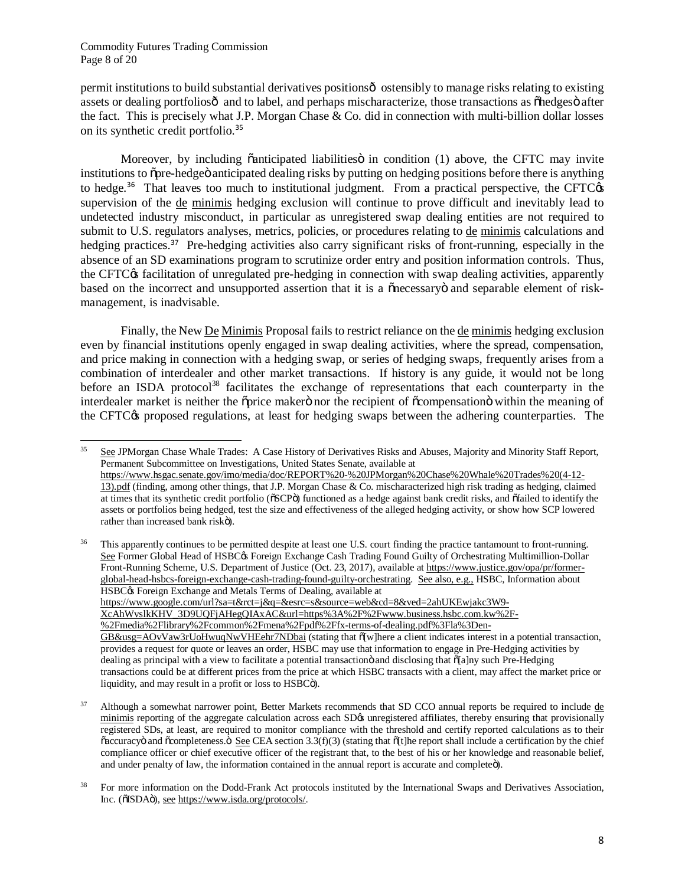permit institutions to build substantial derivatives positions  $\hat{\sigma}$  ostensibly to manage risks relating to existing assets or dealing portfoliosô and to label, and perhaps mischaracterize, those transactions as  $\delta$ hedges $\ddot{o}$  after the fact. This is precisely what J.P. Morgan Chase  $& Co.$  did in connection with multi-billion dollar losses on its synthetic credit portfolio.<sup>35</sup>

Moreover, by including  $\ddot{\text{o}}$ anticipated liabilities in condition (1) above, the CFTC may invite institutions to  $\delta$  pre-hedge  $\delta$  anticipated dealing risks by putting on hedging positions before there is anything to hedge.<sup>36</sup> That leaves too much to institutional judgment. From a practical perspective, the CFTC $\alpha$ supervision of the de minimis hedging exclusion will continue to prove difficult and inevitably lead to undetected industry misconduct, in particular as unregistered swap dealing entities are not required to submit to U.S. regulators analyses, metrics, policies, or procedures relating to de minimis calculations and hedging practices.<sup>37</sup> Pre-hedging activities also carry significant risks of front-running, especially in the absence of an SD examinations program to scrutinize order entry and position information controls. Thus, the CFTC<sub>O</sub> facilitation of unregulated pre-hedging in connection with swap dealing activities, apparently based on the incorrect and unsupported assertion that it is a  $\tilde{o}$  necessary $\ddot{o}$  and separable element of riskmanagement, is inadvisable.

Finally, the New De Minimis Proposal fails to restrict reliance on the de minimis hedging exclusion even by financial institutions openly engaged in swap dealing activities, where the spread, compensation, and price making in connection with a hedging swap, or series of hedging swaps, frequently arises from a combination of interdealer and other market transactions. If history is any guide, it would not be long before an ISDA protocol<sup>38</sup> facilitates the exchange of representations that each counterparty in the interdealer market is neither the oprice makero nor the recipient of ocompensation within the meaning of the CFTC<sub>O</sub> proposed regulations, at least for hedging swaps between the adhering counterparties. The

 $35$ See JPMorgan Chase Whale Trades: A Case History of Derivatives Risks and Abuses, Majority and Minority Staff Report, Permanent Subcommittee on Investigations, United States Senate, available at https://www.hsgac.senate.gov/imo/media/doc/REPORT%20-%20JPMorgan%20Chase%20Whale%20Trades%20(4-12- 13).pdf (finding, among other things, that J.P. Morgan Chase & Co. mischaracterized high risk trading as hedging, claimed at times that its synthetic credit portfolio ( $\delta$ SCP $\delta$ ) functioned as a hedge against bank credit risks, and  $\delta$ failed to identify the assets or portfolios being hedged, test the size and effectiveness of the alleged hedging activity, or show how SCP lowered rather than increased bank riskö).

<sup>36</sup> This apparently continues to be permitted despite at least one U.S. court finding the practice tantamount to front-running. See Former Global Head of HSBC $\alpha$  Foreign Exchange Cash Trading Found Guilty of Orchestrating Multimillion-Dollar Front-Running Scheme, U.S. Department of Justice (Oct. 23, 2017), available at https://www.justice.gov/opa/pr/formerglobal-head-hsbcs-foreign-exchange-cash-trading-found-guilty-orchestrating. See also, e.g., HSBC, Information about HSBC $\alpha$  Foreign Exchange and Metals Terms of Dealing, available at https://www.google.com/url?sa=t&rct=j&q=&esrc=s&source=web&cd=8&ved=2ahUKEwjakc3W9- XcAhWvslkKHV\_3D9UQFjAHegQIAxAC&url=https%3A%2F%2Fwww.business.hsbc.com.kw%2F- %2Fmedia%2Flibrary%2Fcommon%2Fmena%2Fpdf%2Ffx-terms-of-dealing.pdf%3Fla%3Den-GB&usg=AOvVaw3rUoHwuqNwVHEehr7NDbai (stating that  $\delta[w]$ here a client indicates interest in a potential transaction, provides a request for quote or leaves an order, HSBC may use that information to engage in Pre-Hedging activities by dealing as principal with a view to facilitate a potential transaction and disclosing that  $\delta$ [a]ny such Pre-Hedging transactions could be at different prices from the price at which HSBC transacts with a client, may affect the market price or liquidity, and may result in a profit or loss to HSBC<sub>0</sub>).

Although a somewhat narrower point, Better Markets recommends that SD CCO annual reports be required to include de minimis reporting of the aggregate calculation across each SD $\alpha$  unregistered affiliates, thereby ensuring that provisionally registered SDs, at least, are required to monitor compliance with the threshold and certify reported calculations as to their  $\alpha$  accuracy and  $\alpha$  ompleteness.  $\ddot{o}$  See CEA section 3.3(f)(3) (stating that  $\ddot{o}$ ) (the report shall include a certification by the chief compliance officer or chief executive officer of the registrant that, to the best of his or her knowledge and reasonable belief, and under penalty of law, the information contained in the annual report is accurate and complete<sub>6</sub>).

<sup>&</sup>lt;sup>38</sup> For more information on the Dodd-Frank Act protocols instituted by the International Swaps and Derivatives Association, Inc. ( $\delta$ ISDA $\ddot{o}$ ), see https://www.isda.org/protocols/.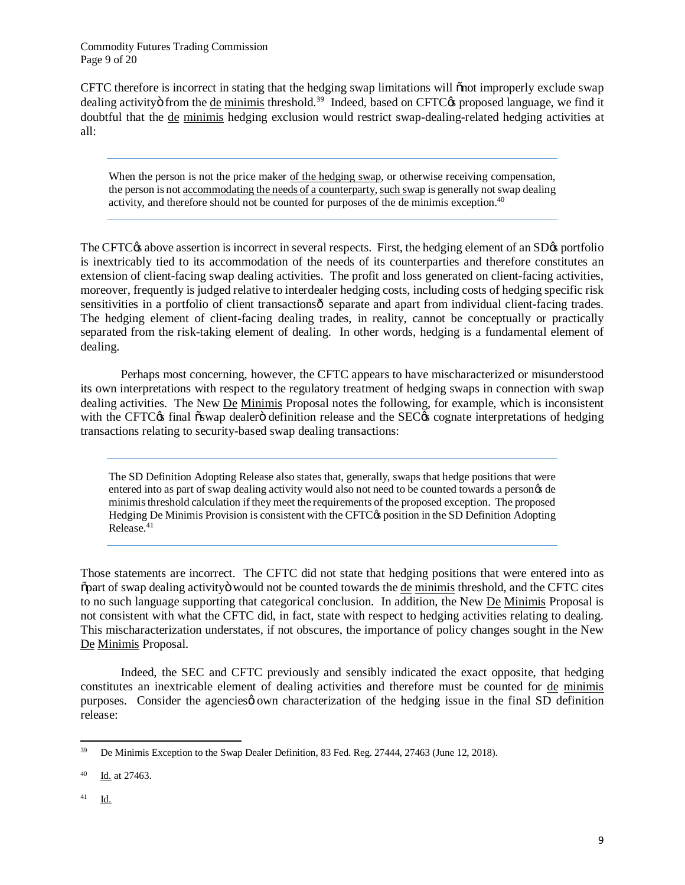Commodity Futures Trading Commission Page 9 of 20

CFTC therefore is incorrect in stating that the hedging swap limitations will onot improperly exclude swap dealing activity from the de minimis threshold.<sup>39</sup> Indeed, based on CFTC $\alpha$  proposed language, we find it doubtful that the de minimis hedging exclusion would restrict swap-dealing-related hedging activities at all:

When the person is not the price maker of the hedging swap, or otherwise receiving compensation, the person is not accommodating the needs of a counterparty, such swap is generally not swap dealing activity, and therefore should not be counted for purposes of the de minimis exception.<sup>40</sup>

The CFTC<sub>C</sub>'s above assertion is incorrect in several respects. First, the hedging element of an SD<sub>C</sub>'s portfolio is inextricably tied to its accommodation of the needs of its counterparties and therefore constitutes an extension of client-facing swap dealing activities. The profit and loss generated on client-facing activities, moreover, frequently is judged relative to interdealer hedging costs, including costs of hedging specific risk sensitivities in a portfolio of client transactions  $\hat{\mathbf{o}}$  separate and apart from individual client-facing trades. The hedging element of client-facing dealing trades, in reality, cannot be conceptually or practically separated from the risk-taking element of dealing. In other words, hedging is a fundamental element of dealing.

Perhaps most concerning, however, the CFTC appears to have mischaracterized or misunderstood its own interpretations with respect to the regulatory treatment of hedging swaps in connection with swap dealing activities. The New De Minimis Proposal notes the following, for example, which is inconsistent with the CFTC<sub>O</sub>'s final "oswap dealer" definition release and the SEC<sub>O</sub>'s cognate interpretations of hedging transactions relating to security-based swap dealing transactions:

The SD Definition Adopting Release also states that, generally, swaps that hedge positions that were entered into as part of swap dealing activity would also not need to be counted towards a person $\alpha$  de minimis threshold calculation if they meet the requirements of the proposed exception. The proposed Hedging De Minimis Provision is consistent with the CFTC $\alpha$  position in the SD Definition Adopting Release.<sup>41</sup>

Those statements are incorrect. The CFTC did not state that hedging positions that were entered into as  $\beta$  part of swap dealing activity would not be counted towards the de minimis threshold, and the CFTC cites to no such language supporting that categorical conclusion. In addition, the New De Minimis Proposal is not consistent with what the CFTC did, in fact, state with respect to hedging activities relating to dealing. This mischaracterization understates, if not obscures, the importance of policy changes sought in the New De Minimis Proposal.

Indeed, the SEC and CFTC previously and sensibly indicated the exact opposite, that hedging constitutes an inextricable element of dealing activities and therefore must be counted for de minimis purposes. Consider the agencies own characterization of the hedging issue in the final SD definition release:

<sup>39</sup> <sup>39</sup> De Minimis Exception to the Swap Dealer Definition, 83 Fed. Reg. 27444, 27463 (June 12, 2018).

<sup>40</sup> Id. at 27463.

<sup>41</sup> Id.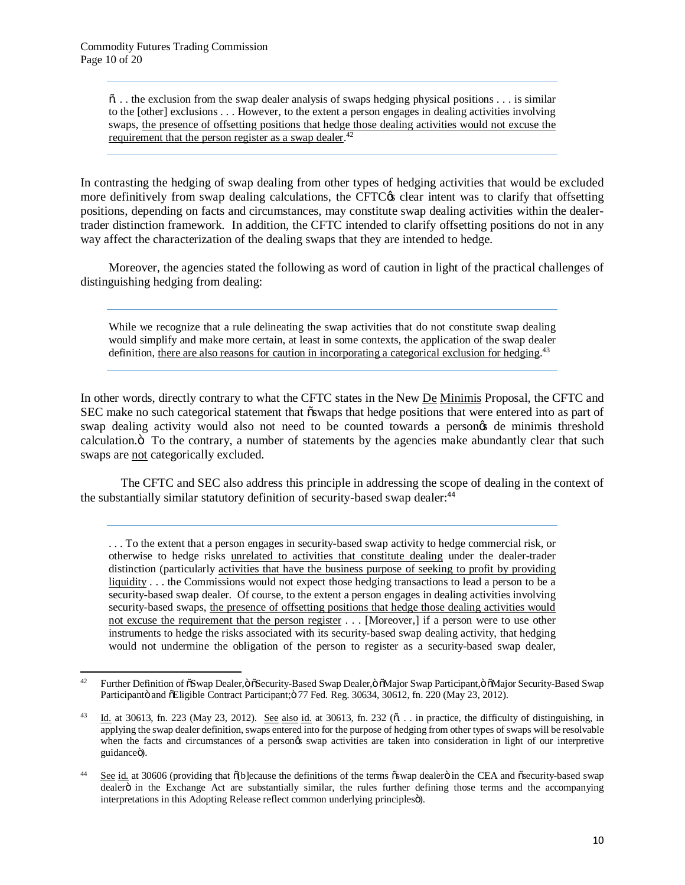$\ddot{\text{o}}$ ... the exclusion from the swap dealer analysis of swaps hedging physical positions ... is similar to the [other] exclusions . . . However, to the extent a person engages in dealing activities involving swaps, the presence of offsetting positions that hedge those dealing activities would not excuse the requirement that the person register as a swap dealer.<sup>42</sup>

In contrasting the hedging of swap dealing from other types of hedging activities that would be excluded more definitively from swap dealing calculations, the CFTC $\alpha$  clear intent was to clarify that offsetting positions, depending on facts and circumstances, may constitute swap dealing activities within the dealertrader distinction framework. In addition, the CFTC intended to clarify offsetting positions do not in any way affect the characterization of the dealing swaps that they are intended to hedge.

Moreover, the agencies stated the following as word of caution in light of the practical challenges of distinguishing hedging from dealing:

While we recognize that a rule delineating the swap activities that do not constitute swap dealing would simplify and make more certain, at least in some contexts, the application of the swap dealer definition, there are also reasons for caution in incorporating a categorical exclusion for hedging.<sup>43</sup>

In other words, directly contrary to what the CFTC states in the New De Minimis Proposal, the CFTC and SEC make no such categorical statement that  $\tilde{\text{swaps}}$  that hedge positions that were entered into as part of swap dealing activity would also not need to be counted towards a persongs de minimis threshold calculation. To the contrary, a number of statements by the agencies make abundantly clear that such swaps are not categorically excluded.

The CFTC and SEC also address this principle in addressing the scope of dealing in the context of the substantially similar statutory definition of security-based swap dealer:<sup>44</sup>

. . . To the extent that a person engages in security-based swap activity to hedge commercial risk, or otherwise to hedge risks unrelated to activities that constitute dealing under the dealer-trader distinction (particularly activities that have the business purpose of seeking to profit by providing liquidity . . . the Commissions would not expect those hedging transactions to lead a person to be a security-based swap dealer. Of course, to the extent a person engages in dealing activities involving security-based swaps, the presence of offsetting positions that hedge those dealing activities would not excuse the requirement that the person register . . . [Moreover,] if a person were to use other instruments to hedge the risks associated with its security-based swap dealing activity, that hedging would not undermine the obligation of the person to register as a security-based swap dealer,

 $42$ Further Definition of  $\delta$ Swap Dealer,  $\delta$   $\delta$ Security-Based Swap Dealer,  $\delta$   $\delta$ Major Swap Participant,  $\delta$   $\delta$ Major Security-Based Swap Participantö and õEligible Contract Participant; 77 Fed. Reg. 30634, 30612, fn. 220 (May 23, 2012).

 $\frac{43}{10}$  Id. at 30613, fn. 223 (May 23, 2012). See also id. at 30613, fn. 232 ( $\delta$ . . in practice, the difficulty of distinguishing, in applying the swap dealer definition, swaps entered into for the purpose of hedging from other types of swaps will be resolvable when the facts and circumstances of a personos swap activities are taken into consideration in light of our interpretive guidanceö).

<sup>&</sup>lt;sup>44</sup> See id. at 30606 (providing that  $\delta$ [b]ecause the definitions of the terms  $\delta$ swap dealer $\delta$  in the CEA and  $\delta$ security-based swap dealerö in the Exchange Act are substantially similar, the rules further defining those terms and the accompanying interpretations in this Adopting Release reflect common underlying principlesö).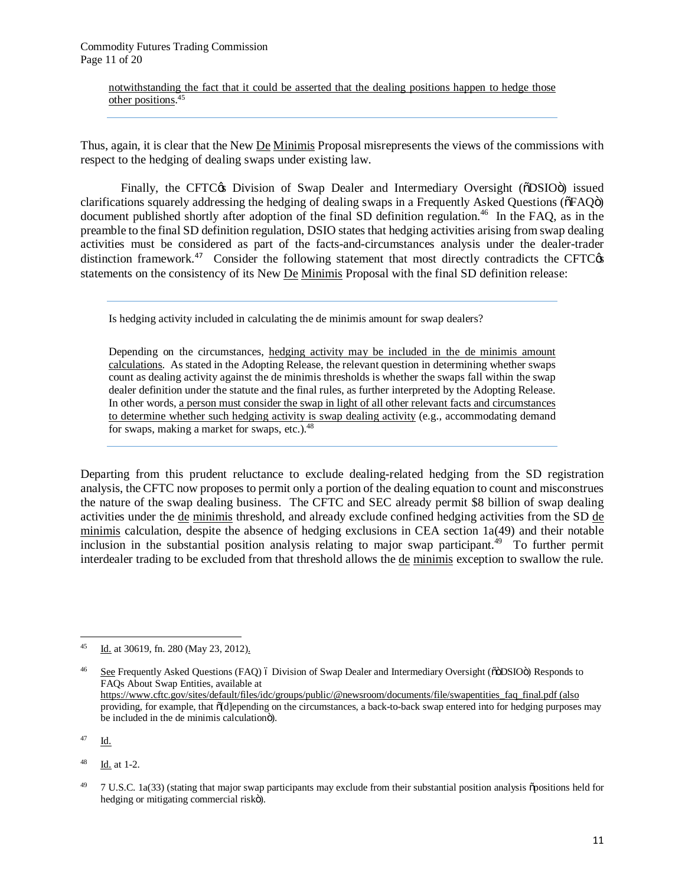notwithstanding the fact that it could be asserted that the dealing positions happen to hedge those other positions. 45

Thus, again, it is clear that the New De Minimis Proposal misrepresents the views of the commissions with respect to the hedging of dealing swaps under existing law.

Finally, the CFTC<sub>O</sub>'s Division of Swap Dealer and Intermediary Oversight ( $\delta$ DSIO $\delta$ ) issued clarifications squarely addressing the hedging of dealing swaps in a Frequently Asked Questions ( $\delta$ FAQ $\ddot{o}$ ) document published shortly after adoption of the final SD definition regulation.<sup>46</sup> In the FAQ, as in the preamble to the final SD definition regulation, DSIO states that hedging activities arising from swap dealing activities must be considered as part of the facts-and-circumstances analysis under the dealer-trader distinction framework.<sup>47</sup> Consider the following statement that most directly contradicts the CFTC $\alpha$ statements on the consistency of its New De Minimis Proposal with the final SD definition release:

Is hedging activity included in calculating the de minimis amount for swap dealers?

Depending on the circumstances, hedging activity may be included in the de minimis amount calculations. As stated in the Adopting Release, the relevant question in determining whether swaps count as dealing activity against the de minimis thresholds is whether the swaps fall within the swap dealer definition under the statute and the final rules, as further interpreted by the Adopting Release. In other words, a person must consider the swap in light of all other relevant facts and circumstances to determine whether such hedging activity is swap dealing activity (e.g., accommodating demand for swaps, making a market for swaps, etc.).<sup>48</sup>

Departing from this prudent reluctance to exclude dealing-related hedging from the SD registration analysis, the CFTC now proposes to permit only a portion of the dealing equation to count and misconstrues the nature of the swap dealing business. The CFTC and SEC already permit \$8 billion of swap dealing activities under the de minimis threshold, and already exclude confined hedging activities from the SD de minimis calculation, despite the absence of hedging exclusions in CEA section 1a(49) and their notable inclusion in the substantial position analysis relating to major swap participant. 49 To further permit interdealer trading to be excluded from that threshold allows the de minimis exception to swallow the rule.

<sup>46</sup> See Frequently Asked Questions (FAQ) 6 Division of Swap Dealer and Intermediary Oversight (ööDSIOö) Responds to FAQs About Swap Entities, available at https://www.cftc.gov/sites/default/files/idc/groups/public/@newsroom/documents/file/swapentities\_faq\_final.pdf (also providing, for example, that  $\delta[d]$ epending on the circumstances, a back-to-back swap entered into for hedging purposes may be included in the de minimis calculation<sub>o</sub>).

 $^{47}$  Id.

<sup>48</sup> Id. at 1-2.

 $45\,$ Id. at 30619, fn. 280 (May 23, 2012).

<sup>&</sup>lt;sup>49</sup> 7 U.S.C. 1a(33) (stating that major swap participants may exclude from their substantial position analysis õpositions held for hedging or mitigating commercial riskö).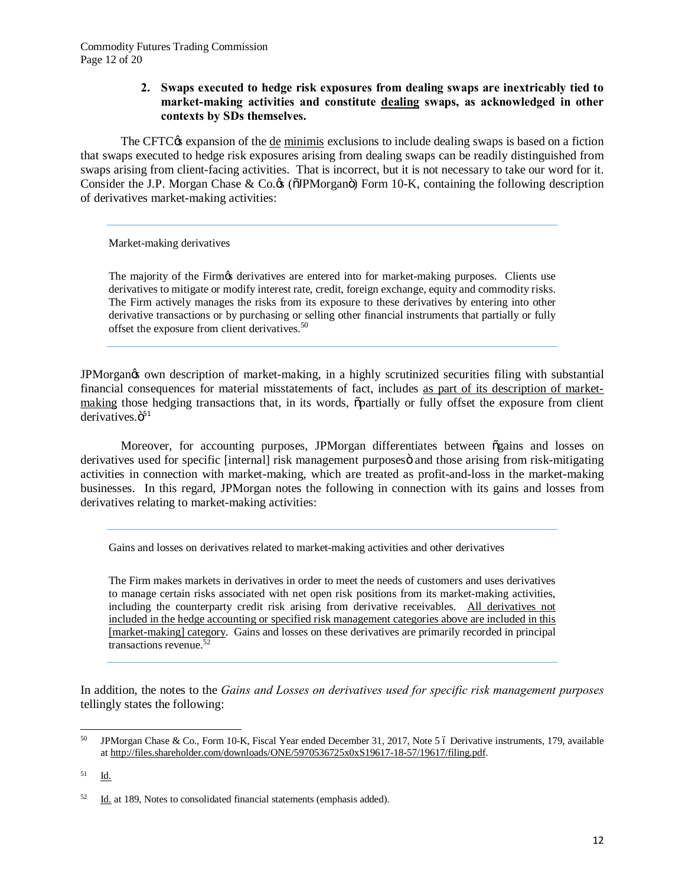#### **2. Swaps executed to hedge risk exposures from dealing swaps are inextricably tied to market-making activities and constitute dealing swaps, as acknowledged in other contexts by SDs themselves.**

The CFTC $\alpha$  expansion of the de minimis exclusions to include dealing swaps is based on a fiction that swaps executed to hedge risk exposures arising from dealing swaps can be readily distinguished from swaps arising from client-facing activities. That is incorrect, but it is not necessary to take our word for it. Consider the J.P. Morgan Chase & Co. $\&$  ( $\ddot{\text{O}}$ ) Form 10-K, containing the following description of derivatives market-making activities:

Market-making derivatives

The majority of the Firmgs derivatives are entered into for market-making purposes. Clients use derivatives to mitigate or modify interest rate, credit, foreign exchange, equity and commodity risks. The Firm actively manages the risks from its exposure to these derivatives by entering into other derivative transactions or by purchasing or selling other financial instruments that partially or fully offset the exposure from client derivatives.<sup>50</sup>

JPMorgan $\alpha$  own description of market-making, in a highly scrutinized securities filing with substantial financial consequences for material misstatements of fact, includes as part of its description of marketmaking those hedging transactions that, in its words,  $\ddot{\phi}$  partially or fully offset the exposure from client derivatives  $\ddot{\sigma}^{51}$ 

Moreover, for accounting purposes, JPMorgan differentiates between "gains and losses on derivatives used for specific [internal] risk management purposes and those arising from risk-mitigating activities in connection with market-making, which are treated as profit-and-loss in the market-making businesses. In this regard, JPMorgan notes the following in connection with its gains and losses from derivatives relating to market-making activities:

Gains and losses on derivatives related to market-making activities and other derivatives

The Firm makes markets in derivatives in order to meet the needs of customers and uses derivatives to manage certain risks associated with net open risk positions from its market-making activities, including the counterparty credit risk arising from derivative receivables. All derivatives not included in the hedge accounting or specified risk management categories above are included in this [market-making] category. Gains and losses on these derivatives are primarily recorded in principal transactions revenue. $52$ 

In addition, the notes to the *Gains and Losses on derivatives used for specific risk management purposes* tellingly states the following:

<sup>50</sup> JPMorgan Chase & Co., Form 10-K, Fiscal Year ended December 31, 2017, Note 5 6 Derivative instruments, 179, available at http://files.shareholder.com/downloads/ONE/5970536725x0xS19617-18-57/19617/filing.pdf.

<sup>51</sup> Id.

 $52$  Id. at 189, Notes to consolidated financial statements (emphasis added).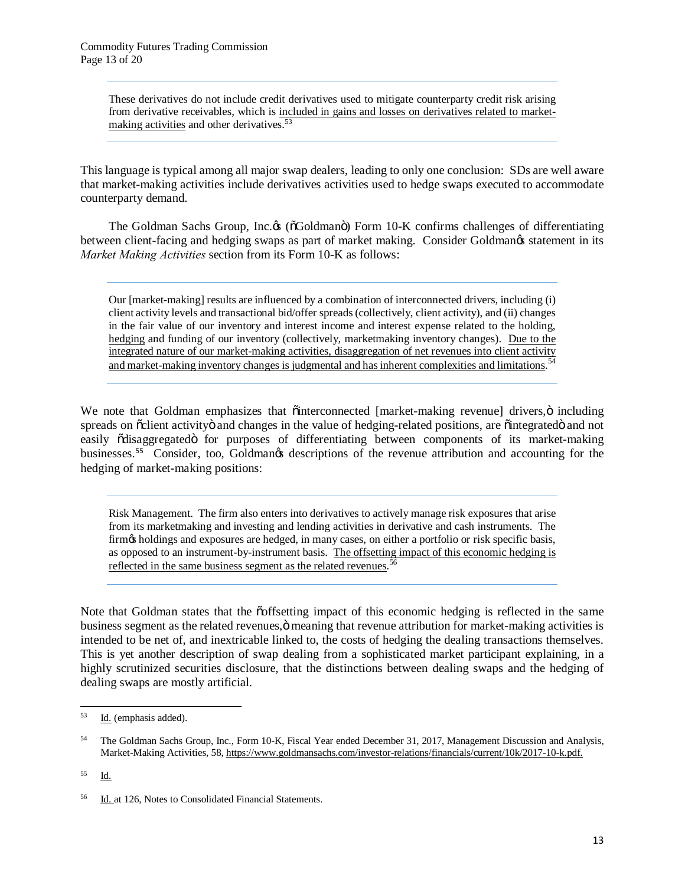These derivatives do not include credit derivatives used to mitigate counterparty credit risk arising from derivative receivables, which is included in gains and losses on derivatives related to marketmaking activities and other derivatives.<sup>53</sup>

This language is typical among all major swap dealers, leading to only one conclusion: SDs are well aware that market-making activities include derivatives activities used to hedge swaps executed to accommodate counterparty demand.

The Goldman Sachs Group, Inc.  $\&$  ( $\delta$ Goldman $\ddot{o}$ ) Form 10-K confirms challenges of differentiating between client-facing and hedging swaps as part of market making. Consider Goldmangs statement in its *Market Making Activities* section from its Form 10-K as follows:

Our [market-making] results are influenced by a combination of interconnected drivers, including (i) client activity levels and transactional bid/offer spreads (collectively, client activity), and (ii) changes in the fair value of our inventory and interest income and interest expense related to the holding, hedging and funding of our inventory (collectively, marketmaking inventory changes). Due to the integrated nature of our market-making activities, disaggregation of net revenues into client activity and market-making inventory changes is judgmental and has inherent complexities and limitations. <sup>54</sup>

We note that Goldman emphasizes that  $\ddot{\text{o}}$ interconnected [market-making revenue] drivers, $\ddot{\text{o}}$  including spreads on  $\delta$ client activity and changes in the value of hedging-related positions, are  $\delta$  integrated  $\delta$  and not easily  $\tilde{o}$ disaggregated $\tilde{o}$  for purposes of differentiating between components of its market-making businesses.<sup>55</sup> Consider, too, Goldmangs descriptions of the revenue attribution and accounting for the hedging of market-making positions:

Risk Management. The firm also enters into derivatives to actively manage risk exposures that arise from its marketmaking and investing and lending activities in derivative and cash instruments. The firm $\alpha$  holdings and exposures are hedged, in many cases, on either a portfolio or risk specific basis, as opposed to an instrument-by-instrument basis. The offsetting impact of this economic hedging is reflected in the same business segment as the related revenues.<sup>56</sup>

Note that Goldman states that the  $\tilde{\text{coffsetting}}$  impact of this economic hedging is reflected in the same business segment as the related revenues, ö meaning that revenue attribution for market-making activities is intended to be net of, and inextricable linked to, the costs of hedging the dealing transactions themselves. This is yet another description of swap dealing from a sophisticated market participant explaining, in a highly scrutinized securities disclosure, that the distinctions between dealing swaps and the hedging of dealing swaps are mostly artificial.

 $\overline{a}$ 

<sup>53</sup> Id. (emphasis added).

<sup>54</sup> The Goldman Sachs Group, Inc., Form 10-K, Fiscal Year ended December 31, 2017, Management Discussion and Analysis, Market-Making Activities, 58, https://www.goldmansachs.com/investor-relations/financials/current/10k/2017-10-k.pdf.

<sup>55</sup> Id.

<sup>&</sup>lt;sup>56</sup> Id. at 126, Notes to Consolidated Financial Statements.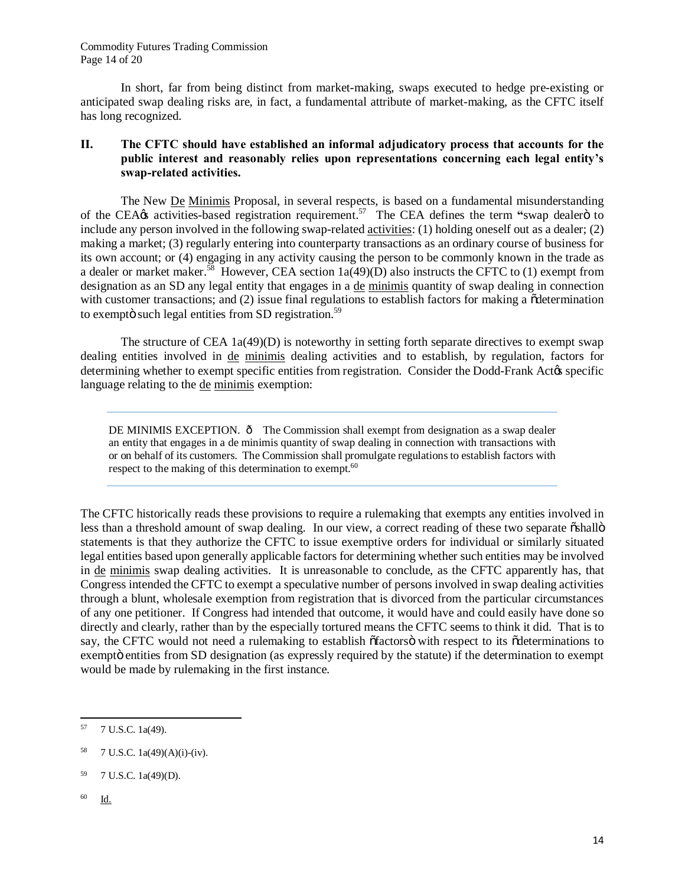In short, far from being distinct from market-making, swaps executed to hedge pre-existing or anticipated swap dealing risks are, in fact, a fundamental attribute of market-making, as the CFTC itself has long recognized.

## **II. The CFTC should have established an informal adjudicatory process that accounts for the public interest and reasonably relies upon representations concerning each legal entity's swap-related activities.**

The New De Minimis Proposal, in several respects, is based on a fundamental misunderstanding of the CEA $\alpha$  activities-based registration requirement.<sup>57</sup> The CEA defines the term "swap dealero to include any person involved in the following swap-related activities: (1) holding oneself out as a dealer; (2) making a market; (3) regularly entering into counterparty transactions as an ordinary course of business for its own account; or (4) engaging in any activity causing the person to be commonly known in the trade as a dealer or market maker.<sup>58</sup> However, CEA section  $1a(49)(D)$  also instructs the CFTC to (1) exempt from designation as an SD any legal entity that engages in a de minimis quantity of swap dealing in connection with customer transactions; and  $(2)$  issue final regulations to establish factors for making a  $\ddot{\text{o}}$  determination to exemptö such legal entities from SD registration. $59$ 

The structure of CEA  $1a(49)(D)$  is noteworthy in setting forth separate directives to exempt swap dealing entities involved in de minimis dealing activities and to establish, by regulation, factors for determining whether to exempt specific entities from registration. Consider the Dodd-Frank Act & specific language relating to the de minimis exemption:

DE MINIMIS EXCEPTION.  $\hat{o}$  The Commission shall exempt from designation as a swap dealer an entity that engages in a de minimis quantity of swap dealing in connection with transactions with or on behalf of its customers. The Commission shall promulgate regulations to establish factors with respect to the making of this determination to exempt.<sup>60</sup>

The CFTC historically reads these provisions to require a rulemaking that exempts any entities involved in less than a threshold amount of swap dealing. In our view, a correct reading of these two separate  $\delta$ shall $\delta$ statements is that they authorize the CFTC to issue exemptive orders for individual or similarly situated legal entities based upon generally applicable factors for determining whether such entities may be involved in de minimis swap dealing activities. It is unreasonable to conclude, as the CFTC apparently has, that Congress intended the CFTC to exempt a speculative number of persons involved in swap dealing activities through a blunt, wholesale exemption from registration that is divorced from the particular circumstances of any one petitioner. If Congress had intended that outcome, it would have and could easily have done so directly and clearly, rather than by the especially tortured means the CFTC seems to think it did. That is to say, the CFTC would not need a rulemaking to establish  $\delta$  factors  $\ddot{o}$  with respect to its  $\delta$  determinations to exempto entities from SD designation (as expressly required by the statute) if the determination to exempt would be made by rulemaking in the first instance.

<sup>60</sup> Id.

 $\overline{a}$ <sup>57</sup> 7 U.S.C. 1a(49).

<sup>58</sup> 7 U.S.C. 1a(49)(A)(i)-(iv).

<sup>59</sup> 7 U.S.C. 1a(49)(D).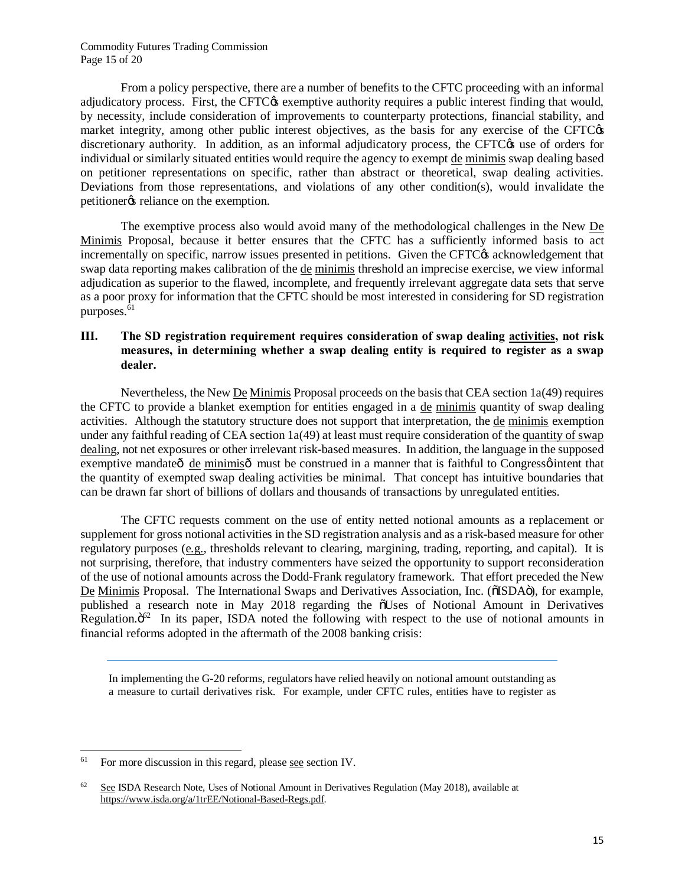From a policy perspective, there are a number of benefits to the CFTC proceeding with an informal adjudicatory process. First, the CFTC $\alpha$  exemptive authority requires a public interest finding that would, by necessity, include consideration of improvements to counterparty protections, financial stability, and market integrity, among other public interest objectives, as the basis for any exercise of the CFTC $\alpha$ discretionary authority. In addition, as an informal adjudicatory process, the CFTC $\alpha$  use of orders for individual or similarly situated entities would require the agency to exempt de minimis swap dealing based on petitioner representations on specific, rather than abstract or theoretical, swap dealing activities. Deviations from those representations, and violations of any other condition(s), would invalidate the petitioner<sub>os</sub> reliance on the exemption.

The exemptive process also would avoid many of the methodological challenges in the New De Minimis Proposal, because it better ensures that the CFTC has a sufficiently informed basis to act incrementally on specific, narrow issues presented in petitions. Given the CFTC $\alpha$  acknowledgement that swap data reporting makes calibration of the de minimis threshold an imprecise exercise, we view informal adjudication as superior to the flawed, incomplete, and frequently irrelevant aggregate data sets that serve as a poor proxy for information that the CFTC should be most interested in considering for SD registration purposes.<sup>61</sup>

## **III. The SD registration requirement requires consideration of swap dealing activities, not risk measures, in determining whether a swap dealing entity is required to register as a swap dealer.**

Nevertheless, the New De Minimis Proposal proceeds on the basis that CEA section 1a(49) requires the CFTC to provide a blanket exemption for entities engaged in a de minimis quantity of swap dealing activities. Although the statutory structure does not support that interpretation, the de minimis exemption under any faithful reading of CEA section 1a(49) at least must require consideration of the quantity of swap dealing, not net exposures or other irrelevant risk-based measures. In addition, the language in the supposed exemptive mandate $\hat{\sigma}$  de minimis $\hat{\sigma}$  must be construed in a manner that is faithful to Congress $\hat{\sigma}$  intent that the quantity of exempted swap dealing activities be minimal. That concept has intuitive boundaries that can be drawn far short of billions of dollars and thousands of transactions by unregulated entities.

The CFTC requests comment on the use of entity netted notional amounts as a replacement or supplement for gross notional activities in the SD registration analysis and as a risk-based measure for other regulatory purposes (e.g., thresholds relevant to clearing, margining, trading, reporting, and capital). It is not surprising, therefore, that industry commenters have seized the opportunity to support reconsideration of the use of notional amounts across the Dodd-Frank regulatory framework. That effort preceded the New De Minimis Proposal. The International Swaps and Derivatives Association, Inc. ( $\delta$ ISDA $\ddot{o}$ ), for example, published a research note in May 2018 regarding the  $\tilde{\text{o}}$ Uses of Notional Amount in Derivatives Regulation. $\ddot{\sigma}^{62}$  In its paper, ISDA noted the following with respect to the use of notional amounts in financial reforms adopted in the aftermath of the 2008 banking crisis:

In implementing the G-20 reforms, regulators have relied heavily on notional amount outstanding as a measure to curtail derivatives risk. For example, under CFTC rules, entities have to register as

<sup>61</sup> For more discussion in this regard, please see section IV.

 $62$  See ISDA Research Note, Uses of Notional Amount in Derivatives Regulation (May 2018), available at https://www.isda.org/a/1trEE/Notional-Based-Regs.pdf.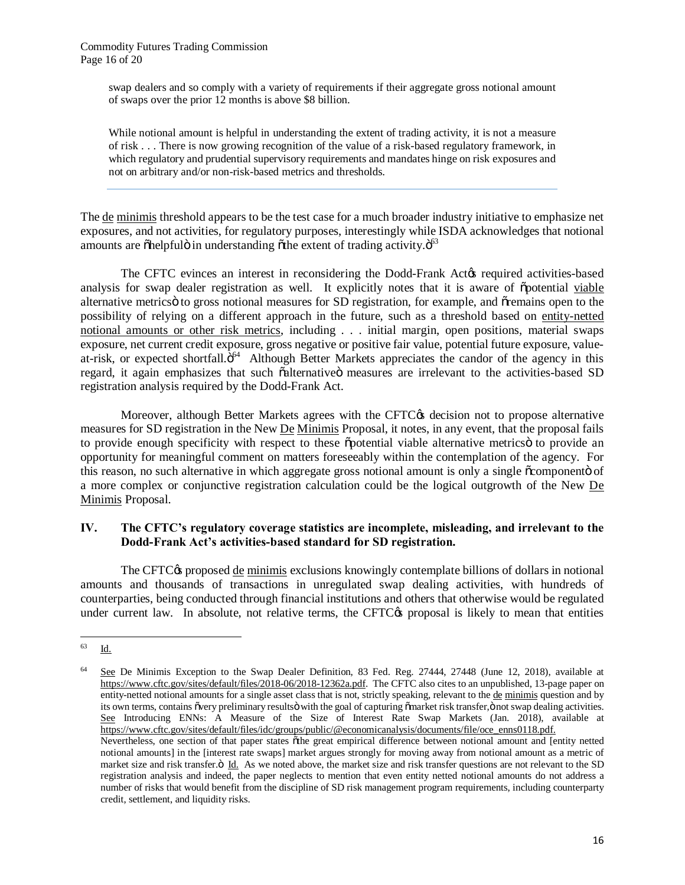swap dealers and so comply with a variety of requirements if their aggregate gross notional amount of swaps over the prior 12 months is above \$8 billion.

While notional amount is helpful in understanding the extent of trading activity, it is not a measure of risk . . . There is now growing recognition of the value of a risk-based regulatory framework, in which regulatory and prudential supervisory requirements and mandates hinge on risk exposures and not on arbitrary and/or non-risk-based metrics and thresholds.

The de minimis threshold appears to be the test case for a much broader industry initiative to emphasize net exposures, and not activities, for regulatory purposes, interestingly while ISDA acknowledges that notional amounts are  $\delta$ helpful $\ddot{\rm o}$  in understanding  $\ddot{\rm o}$  the extent of trading activity. $\ddot{\rm o}^{\rm 63}$ 

The CFTC evinces an interest in reconsidering the Dodd-Frank Act<sub>*i*s</sub> required activities-based analysis for swap dealer registration as well. It explicitly notes that it is aware of  $\ddot{\text{o}}$  potential viable alternative metrics to gross notional measures for SD registration, for example, and original open to the possibility of relying on a different approach in the future, such as a threshold based on entity-netted notional amounts or other risk metrics, including . . . initial margin, open positions, material swaps exposure, net current credit exposure, gross negative or positive fair value, potential future exposure, valueat-risk, or expected shortfall. $\ddot{\mathrm{o}}^{64}$  Although Better Markets appreciates the candor of the agency in this regard, it again emphasizes that such oalternative measures are irrelevant to the activities-based SD registration analysis required by the Dodd-Frank Act.

Moreover, although Better Markets agrees with the CFTC<sub>®</sub> decision not to propose alternative measures for SD registration in the New De Minimis Proposal, it notes, in any event, that the proposal fails to provide enough specificity with respect to these opotential viable alternative metrics to provide an opportunity for meaningful comment on matters foreseeably within the contemplation of the agency. For this reason, no such alternative in which aggregate gross notional amount is only a single  $\tilde{\text{o}}$ componento of a more complex or conjunctive registration calculation could be the logical outgrowth of the New De Minimis Proposal.

#### **IV. The CFTC's regulatory coverage statistics are incomplete, misleading, and irrelevant to the Dodd-Frank Act's activities-based standard for SD registration.**

The CFTC $\circ$  proposed de minimis exclusions knowingly contemplate billions of dollars in notional amounts and thousands of transactions in unregulated swap dealing activities, with hundreds of counterparties, being conducted through financial institutions and others that otherwise would be regulated under current law. In absolute, not relative terms, the CFTC $\alpha$  proposal is likely to mean that entities

<sup>63</sup> Id.

See De Minimis Exception to the Swap Dealer Definition, 83 Fed. Reg. 27444, 27448 (June 12, 2018), available at https://www.cftc.gov/sites/default/files/2018-06/2018-12362a.pdf. The CFTC also cites to an unpublished, 13-page paper on entity-netted notional amounts for a single asset class that is not, strictly speaking, relevant to the <u>de minimis</u> question and by its own terms, contains övery preliminary resultsö with the goal of capturing ömarket risk transfer, önot swap dealing activities. See Introducing ENNs: A Measure of the Size of Interest Rate Swap Markets (Jan. 2018), available at https://www.cftc.gov/sites/default/files/idc/groups/public/@economicanalysis/documents/file/oce\_enns0118.pdf.

Nevertheless, one section of that paper states  $\tilde{o}$ the great empirical difference between notional amount and [entity netted notional amounts] in the [interest rate swaps] market argues strongly for moving away from notional amount as a metric of market size and risk transfer. $\ddot{o}$  Id. As we noted above, the market size and risk transfer questions are not relevant to the SD registration analysis and indeed, the paper neglects to mention that even entity netted notional amounts do not address a number of risks that would benefit from the discipline of SD risk management program requirements, including counterparty credit, settlement, and liquidity risks.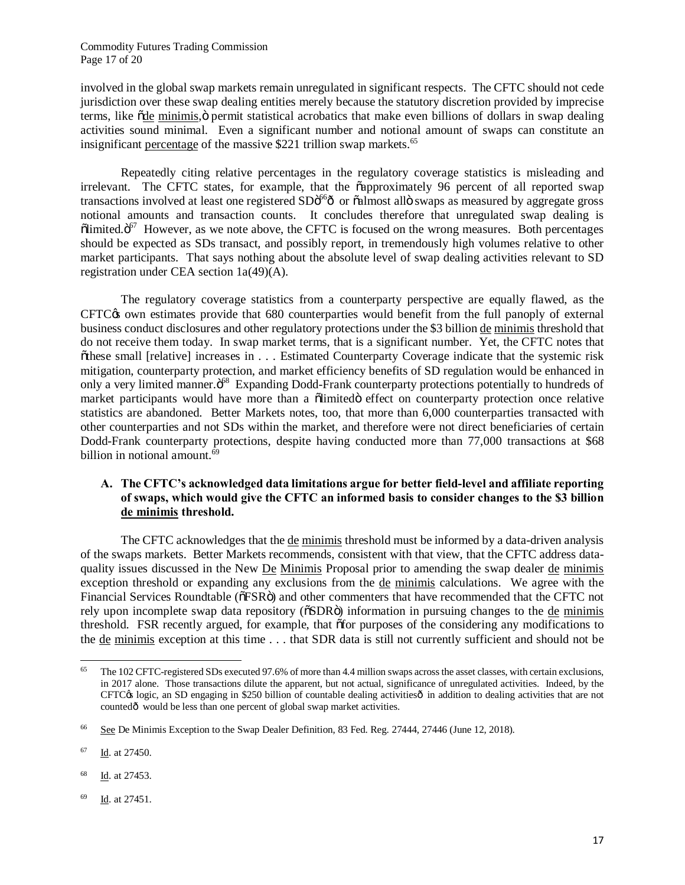Commodity Futures Trading Commission Page 17 of 20

involved in the global swap markets remain unregulated in significant respects. The CFTC should not cede jurisdiction over these swap dealing entities merely because the statutory discretion provided by imprecise terms, like ode minimis, o permit statistical acrobatics that make even billions of dollars in swap dealing activities sound minimal. Even a significant number and notional amount of swaps can constitute an insignificant percentage of the massive \$221 trillion swap markets.<sup>65</sup>

Repeatedly citing relative percentages in the regulatory coverage statistics is misleading and irrelevant. The CFTC states, for example, that the  $\tilde{c}$  approximately 96 percent of all reported swap transactions involved at least one registered SD $\ddot{\rm o}$ <sup>66</sup> $\ddot{\rm o}$  or  $\ddot{\rm o}$ almost all  $\ddot{\rm o}$  swaps as measured by aggregate gross notional amounts and transaction counts. It concludes therefore that unregulated swap dealing is  $\delta$ limited. $\delta$ <sup>67</sup> However, as we note above, the CFTC is focused on the wrong measures. Both percentages should be expected as SDs transact, and possibly report, in tremendously high volumes relative to other market participants. That says nothing about the absolute level of swap dealing activities relevant to SD registration under CEA section 1a(49)(A).

The regulatory coverage statistics from a counterparty perspective are equally flawed, as the  $CFTC$  $\circ$  own estimates provide that 680 counterparties would benefit from the full panoply of external business conduct disclosures and other regulatory protections under the \$3 billion de minimis threshold that do not receive them today. In swap market terms, that is a significant number. Yet, the CFTC notes that "these small [relative] increases in . . . Estimated Counterparty Coverage indicate that the systemic risk mitigation, counterparty protection, and market efficiency benefits of SD regulation would be enhanced in only a very limited manner. $\ddot{\mathrm{o}}^{68}$  Expanding Dodd-Frank counterparty protections potentially to hundreds of market participants would have more than a  $\delta$ limited $\delta$  effect on counterparty protection once relative statistics are abandoned. Better Markets notes, too, that more than 6,000 counterparties transacted with other counterparties and not SDs within the market, and therefore were not direct beneficiaries of certain Dodd-Frank counterparty protections, despite having conducted more than 77,000 transactions at \$68 billion in notional amount. 69

## **A. The CFTC's acknowledged data limitations argue for better field-level and affiliate reporting of swaps, which would give the CFTC an informed basis to consider changes to the \$3 billion de minimis threshold.**

The CFTC acknowledges that the de minimis threshold must be informed by a data-driven analysis of the swaps markets. Better Markets recommends, consistent with that view, that the CFTC address dataquality issues discussed in the New De Minimis Proposal prior to amending the swap dealer de minimis exception threshold or expanding any exclusions from the de minimis calculations. We agree with the Financial Services Roundtable ( $\delta$ FSR $\ddot{o}$ ) and other commenters that have recommended that the CFTC not rely upon incomplete swap data repository ( $\delta SDR\ddot{o}$ ) information in pursuing changes to the de minimis threshold. FSR recently argued, for example, that "for purposes of the considering any modifications to the de minimis exception at this time . . . that SDR data is still not currently sufficient and should not be

<sup>69</sup> Id. at 27451.

 $65\,$ The 102 CFTC-registered SDs executed 97.6% of more than 4.4 million swaps across the asset classes, with certain exclusions, in 2017 alone. Those transactions dilute the apparent, but not actual, significance of unregulated activities. Indeed, by the  $CFTC$  $\circ$  logic, an SD engaging in \$250 billion of countable dealing activities $\circ$  in addition to dealing activities that are not countedô would be less than one percent of global swap market activities.

<sup>&</sup>lt;sup>66</sup> See De Minimis Exception to the Swap Dealer Definition, 83 Fed. Reg. 27444, 27446 (June 12, 2018).

<sup>67</sup> Id. at 27450.

<sup>&</sup>lt;sup>68</sup> Id. at 27453.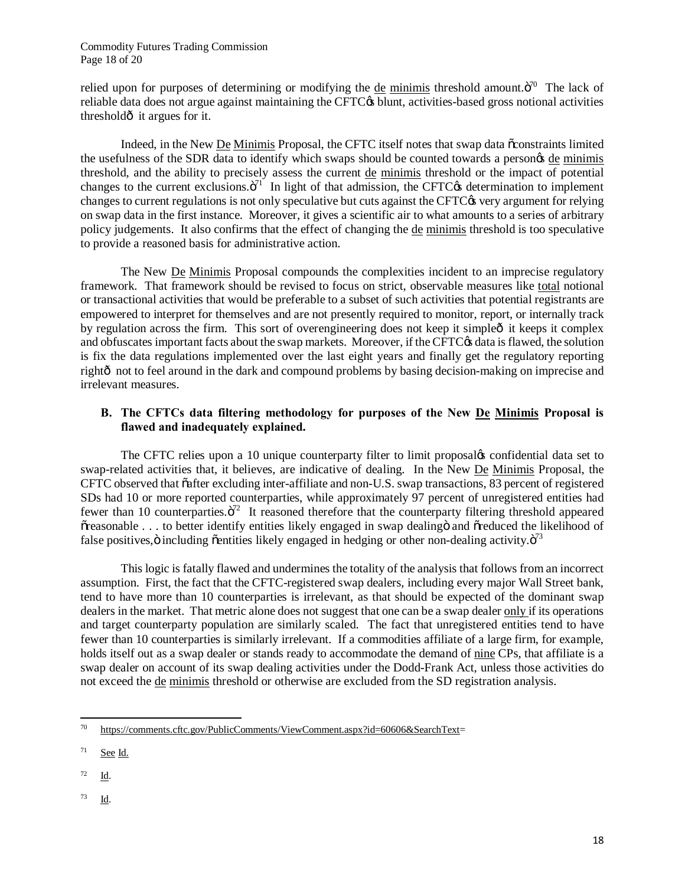Commodity Futures Trading Commission Page 18 of 20

relied upon for purposes of determining or modifying the de minimis threshold amount. $\ddot{\mathrm{o}}$ <sup>70</sup> The lack of reliable data does not argue against maintaining the CFTC $\alpha$  blunt, activities-based gross notional activities thresholdô it argues for it.

Indeed, in the New De Minimis Proposal, the CFTC itself notes that swap data "constraints limited the usefulness of the SDR data to identify which swaps should be counted towards a person $\alpha$  de minimis threshold, and the ability to precisely assess the current de minimis threshold or the impact of potential changes to the current exclusions. $\ddot{o}^{71}$  In light of that admission, the CFTC $\alpha$  determination to implement changes to current regulations is not only speculative but cuts against the CFTC $\alpha$  very argument for relying on swap data in the first instance. Moreover, it gives a scientific air to what amounts to a series of arbitrary policy judgements. It also confirms that the effect of changing the de minimis threshold is too speculative to provide a reasoned basis for administrative action.

The New De Minimis Proposal compounds the complexities incident to an imprecise regulatory framework. That framework should be revised to focus on strict, observable measures like total notional or transactional activities that would be preferable to a subset of such activities that potential registrants are empowered to interpret for themselves and are not presently required to monitor, report, or internally track by regulation across the firm. This sort of overengineering does not keep it simpleo it keeps it complex and obfuscates important facts about the swap markets. Moreover, if the CFTC $\alpha$  data is flawed, the solution is fix the data regulations implemented over the last eight years and finally get the regulatory reporting rightô not to feel around in the dark and compound problems by basing decision-making on imprecise and irrelevant measures.

## **B. The CFTCs data filtering methodology for purposes of the New De Minimis Proposal is flawed and inadequately explained.**

The CFTC relies upon a 10 unique counterparty filter to limit proposaløs confidential data set to swap-related activities that, it believes, are indicative of dealing. In the New De Minimis Proposal, the CFTC observed that  $\tilde{o}$  after excluding inter-affiliate and non-U.S. swap transactions, 83 percent of registered SDs had 10 or more reported counterparties, while approximately 97 percent of unregistered entities had fewer than 10 counterparties. $\ddot{\mathrm{o}}^{72}$  It reasoned therefore that the counterparty filtering threshold appeared  $\tilde{\sigma}$  reasonable ... to better identify entities likely engaged in swap dealing and  $\tilde{\sigma}$  reduced the likelihood of false positives,  $\ddot{o}$  including  $\ddot{o}$  entities likely engaged in hedging or other non-dealing activity. $\ddot{o}^{73}$ 

This logic is fatally flawed and undermines the totality of the analysis that follows from an incorrect assumption. First, the fact that the CFTC-registered swap dealers, including every major Wall Street bank, tend to have more than 10 counterparties is irrelevant, as that should be expected of the dominant swap dealers in the market. That metric alone does not suggest that one can be a swap dealer only if its operations and target counterparty population are similarly scaled. The fact that unregistered entities tend to have fewer than 10 counterparties is similarly irrelevant. If a commodities affiliate of a large firm, for example, holds itself out as a swap dealer or stands ready to accommodate the demand of nine CPs, that affiliate is a swap dealer on account of its swap dealing activities under the Dodd-Frank Act, unless those activities do not exceed the de minimis threshold or otherwise are excluded from the SD registration analysis.

- $72 \quad \underline{Id}$ .
- $^{73}$  Id.

 $70\,$ https://comments.cftc.gov/PublicComments/ViewComment.aspx?id=60606&SearchText=

 $71$  See Id.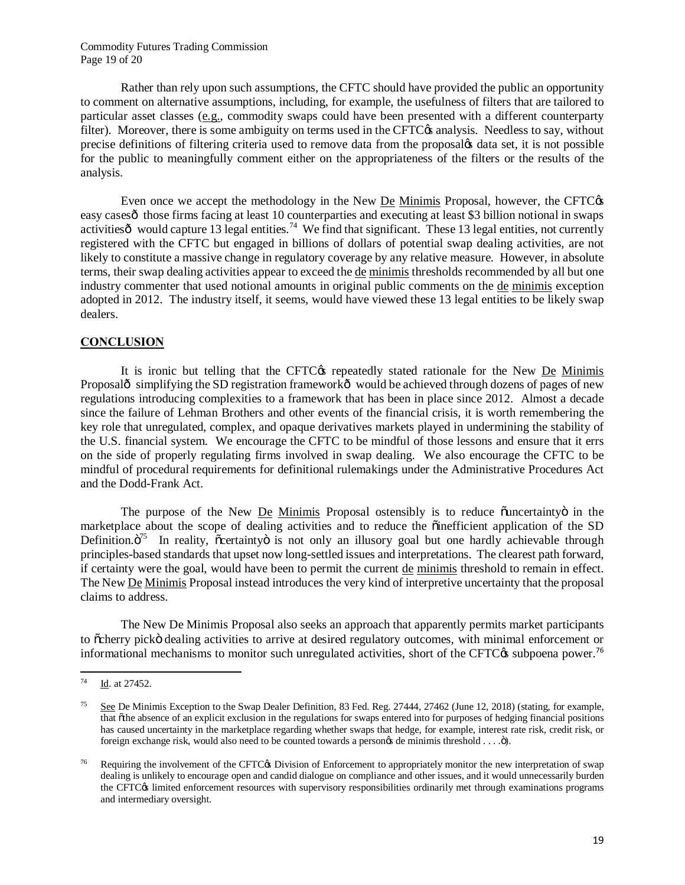Commodity Futures Trading Commission Page 19 of 20

Rather than rely upon such assumptions, the CFTC should have provided the public an opportunity to comment on alternative assumptions, including, for example, the usefulness of filters that are tailored to particular asset classes (e.g., commodity swaps could have been presented with a different counterparty filter). Moreover, there is some ambiguity on terms used in the CFTC $\alpha$  analysis. Needless to say, without precise definitions of filtering criteria used to remove data from the proposal's data set, it is not possible for the public to meaningfully comment either on the appropriateness of the filters or the results of the analysis.

Even once we accept the methodology in the New De Minimis Proposal, however, the CFTC $\alpha$ easy cases ot those firms facing at least 10 counterparties and executing at least \$3 billion notional in swaps activities  $\hat{\sigma}$  would capture 13 legal entities.<sup>74</sup> We find that significant. These 13 legal entities, not currently registered with the CFTC but engaged in billions of dollars of potential swap dealing activities, are not likely to constitute a massive change in regulatory coverage by any relative measure. However, in absolute terms, their swap dealing activities appear to exceed the de minimis thresholds recommended by all but one industry commenter that used notional amounts in original public comments on the de minimis exception adopted in 2012. The industry itself, it seems, would have viewed these 13 legal entities to be likely swap dealers.

#### **CONCLUSION**

It is ironic but telling that the CFTC<sub>O</sub>'s repeatedly stated rationale for the New De Minimis Proposalô simplifying the SD registration frameworkô would be achieved through dozens of pages of new regulations introducing complexities to a framework that has been in place since 2012. Almost a decade since the failure of Lehman Brothers and other events of the financial crisis, it is worth remembering the key role that unregulated, complex, and opaque derivatives markets played in undermining the stability of the U.S. financial system. We encourage the CFTC to be mindful of those lessons and ensure that it errs on the side of properly regulating firms involved in swap dealing. We also encourage the CFTC to be mindful of procedural requirements for definitional rulemakings under the Administrative Procedures Act and the Dodd-Frank Act.

The purpose of the New De Minimis Proposal ostensibly is to reduce  $\ddot{o}$  uncertainty $\ddot{o}$  in the marketplace about the scope of dealing activities and to reduce the  $\ddot{\text{on}}$  efficient application of the SD Definition. $\ddot{o}^{75}$  In reality,  $\ddot{o}$  certainty $\ddot{o}$  is not only an illusory goal but one hardly achievable through principles-based standards that upset now long-settled issues and interpretations. The clearest path forward, if certainty were the goal, would have been to permit the current de minimis threshold to remain in effect. The New De Minimis Proposal instead introduces the very kind of interpretive uncertainty that the proposal claims to address.

The New De Minimis Proposal also seeks an approach that apparently permits market participants to õcherry pickö dealing activities to arrive at desired regulatory outcomes, with minimal enforcement or informational mechanisms to monitor such unregulated activities, short of the CFTC $\alpha$  subpoena power.<sup>76</sup>

 $74\,$ Id. at 27452.

<sup>&</sup>lt;sup>75</sup> See De Minimis Exception to the Swap Dealer Definition, 83 Fed. Reg. 27444, 27462 (June 12, 2018) (stating, for example, that õthe absence of an explicit exclusion in the regulations for swaps entered into for purposes of hedging financial positions has caused uncertainty in the marketplace regarding whether swaps that hedge, for example, interest rate risk, credit risk, or foreign exchange risk, would also need to be counted towards a personos de minimis threshold . . . . . . . . . . . .

Requiring the involvement of the CFTC<sub>O</sub>S Division of Enforcement to appropriately monitor the new interpretation of swap dealing is unlikely to encourage open and candid dialogue on compliance and other issues, and it would unnecessarily burden the CFTC<sub>(8</sub> limited enforcement resources with supervisory responsibilities ordinarily met through examinations programs and intermediary oversight.